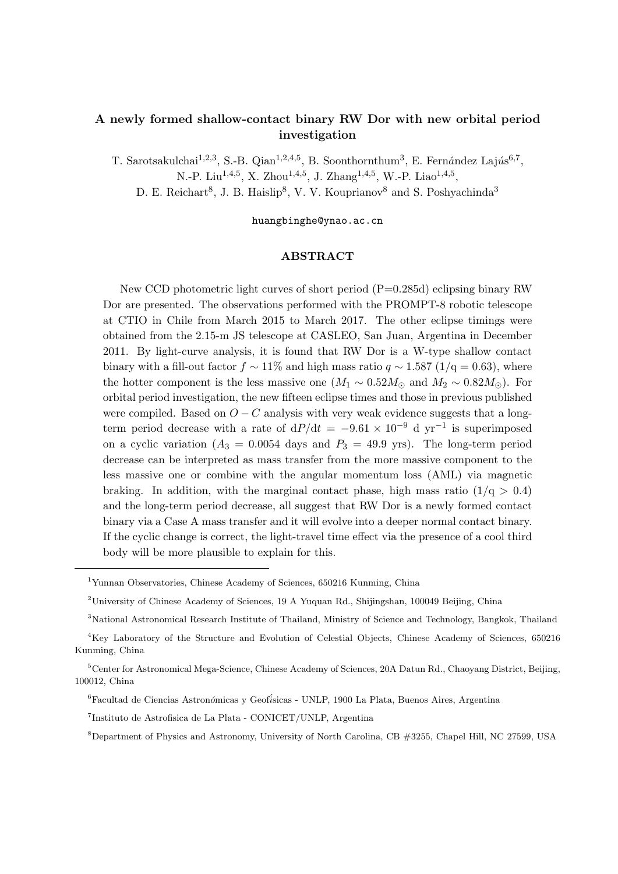# **A newly formed shallow-contact binary RW Dor with new orbital period investigation**

T. Sarotsakulchai<sup>1,2,3</sup>, S.-B. Qian<sup>1,2,4,5</sup>, B. Soonthornthum<sup>3</sup>, E. Fernández Lajús<sup>6,7</sup>, N.-P. Liu<sup>1,4,5</sup>, X. Zhou<sup>1,4,5</sup>, J. Zhang<sup>1,4,5</sup>, W.-P. Liao<sup>1,4,5</sup>,

D. E. Reichart<sup>8</sup>, J. B. Haislip<sup>8</sup>, V. V. Kouprianov<sup>8</sup> and S. Poshyachinda<sup>3</sup>

huangbinghe@ynao.ac.cn

## **ABSTRACT**

New CCD photometric light curves of short period (P=0.285d) eclipsing binary RW Dor are presented. The observations performed with the PROMPT-8 robotic telescope at CTIO in Chile from March 2015 to March 2017. The other eclipse timings were obtained from the 2.15-m JS telescope at CASLEO, San Juan, Argentina in December 2011. By light-curve analysis, it is found that RW Dor is a W-type shallow contact binary with a fill-out factor  $f \sim 11\%$  and high mass ratio  $q \sim 1.587$  ( $1/q = 0.63$ ), where the hotter component is the less massive one ( $M_1 \sim 0.52 M_{\odot}$  and  $M_2 \sim 0.82 M_{\odot}$ ). For orbital period investigation, the new fifteen eclipse times and those in previous published were compiled. Based on  $O - C$  analysis with very weak evidence suggests that a longterm period decrease with a rate of  $dP/dt = -9.61 \times 10^{-9}$  d yr<sup>-1</sup> is superimposed on a cyclic variation  $(A_3 = 0.0054$  days and  $P_3 = 49.9$  yrs). The long-term period decrease can be interpreted as mass transfer from the more massive component to the less massive one or combine with the angular momentum loss (AML) via magnetic braking. In addition, with the marginal contact phase, high mass ratio  $(1/q > 0.4)$ and the long-term period decrease, all suggest that RW Dor is a newly formed contact binary via a Case A mass transfer and it will evolve into a deeper normal contact binary. If the cyclic change is correct, the light-travel time effect via the presence of a cool third body will be more plausible to explain for this.

<sup>1</sup>Yunnan Observatories, Chinese Academy of Sciences, 650216 Kunming, China

<sup>2</sup>University of Chinese Academy of Sciences, 19 A Yuquan Rd., Shijingshan, 100049 Beijing, China

<sup>3</sup>National Astronomical Research Institute of Thailand, Ministry of Science and Technology, Bangkok, Thailand

<sup>4</sup>Key Laboratory of the Structure and Evolution of Celestial Objects, Chinese Academy of Sciences, 650216 Kunming, China

<sup>5</sup>Center for Astronomical Mega-Science, Chinese Academy of Sciences, 20A Datun Rd., Chaoyang District, Beijing, 100012, China

<sup>6</sup>Facultad de Ciencias Astron´*o*micas y Geof´*i*sicas - UNLP, 1900 La Plata, Buenos Aires, Argentina

<sup>7</sup> Instituto de Astrofisica de La Plata - CONICET/UNLP, Argentina

<sup>8</sup>Department of Physics and Astronomy, University of North Carolina, CB #3255, Chapel Hill, NC 27599, USA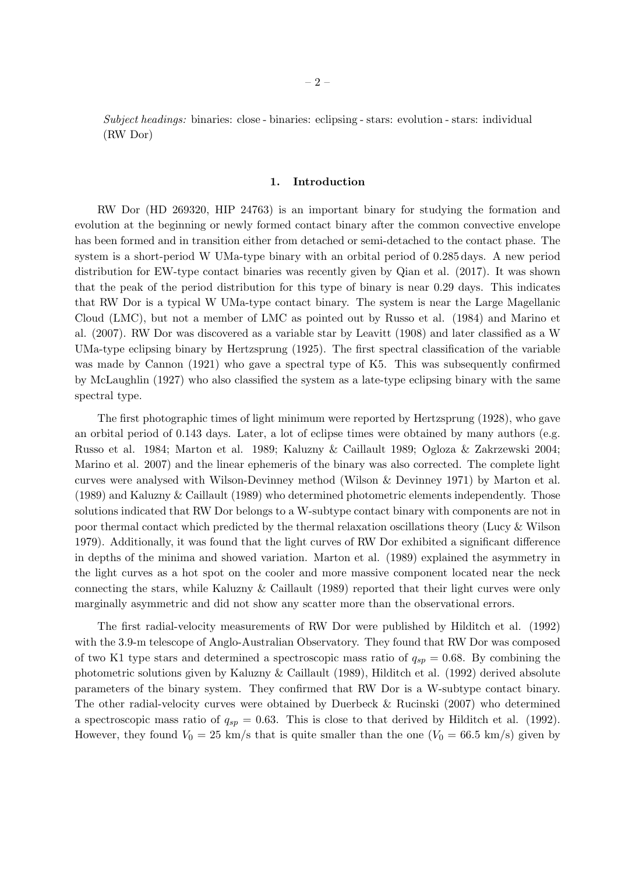*Subject headings:* binaries: close - binaries: eclipsing - stars: evolution - stars: individual (RW Dor)

#### **1. Introduction**

RW Dor (HD 269320, HIP 24763) is an important binary for studying the formation and evolution at the beginning or newly formed contact binary after the common convective envelope has been formed and in transition either from detached or semi-detached to the contact phase. The system is a short-period W UMa-type binary with an orbital period of 0.285 days. A new period distribution for EW-type contact binaries was recently given by Qian et al. (2017). It was shown that the peak of the period distribution for this type of binary is near 0.29 days. This indicates that RW Dor is a typical W UMa-type contact binary. The system is near the Large Magellanic Cloud (LMC), but not a member of LMC as pointed out by Russo et al. (1984) and Marino et al. (2007). RW Dor was discovered as a variable star by Leavitt (1908) and later classified as a W UMa-type eclipsing binary by Hertzsprung (1925). The first spectral classification of the variable was made by Cannon (1921) who gave a spectral type of K5. This was subsequently confirmed by McLaughlin (1927) who also classified the system as a late-type eclipsing binary with the same spectral type.

The first photographic times of light minimum were reported by Hertzsprung (1928), who gave an orbital period of 0.143 days. Later, a lot of eclipse times were obtained by many authors (e.g. Russo et al. 1984; Marton et al. 1989; Kaluzny & Caillault 1989; Ogloza & Zakrzewski 2004; Marino et al. 2007) and the linear ephemeris of the binary was also corrected. The complete light curves were analysed with Wilson-Devinney method (Wilson & Devinney 1971) by Marton et al. (1989) and Kaluzny & Caillault (1989) who determined photometric elements independently. Those solutions indicated that RW Dor belongs to a W-subtype contact binary with components are not in poor thermal contact which predicted by the thermal relaxation oscillations theory (Lucy & Wilson 1979). Additionally, it was found that the light curves of RW Dor exhibited a significant difference in depths of the minima and showed variation. Marton et al. (1989) explained the asymmetry in the light curves as a hot spot on the cooler and more massive component located near the neck connecting the stars, while Kaluzny & Caillault (1989) reported that their light curves were only marginally asymmetric and did not show any scatter more than the observational errors.

The first radial-velocity measurements of RW Dor were published by Hilditch et al. (1992) with the 3.9-m telescope of Anglo-Australian Observatory. They found that RW Dor was composed of two K1 type stars and determined a spectroscopic mass ratio of  $q_{sp} = 0.68$ . By combining the photometric solutions given by Kaluzny & Caillault (1989), Hilditch et al. (1992) derived absolute parameters of the binary system. They confirmed that RW Dor is a W-subtype contact binary. The other radial-velocity curves were obtained by Duerbeck & Rucinski (2007) who determined a spectroscopic mass ratio of  $q_{sp} = 0.63$ . This is close to that derived by Hilditch et al. (1992). However, they found  $V_0 = 25$  km/s that is quite smaller than the one  $(V_0 = 66.5$  km/s) given by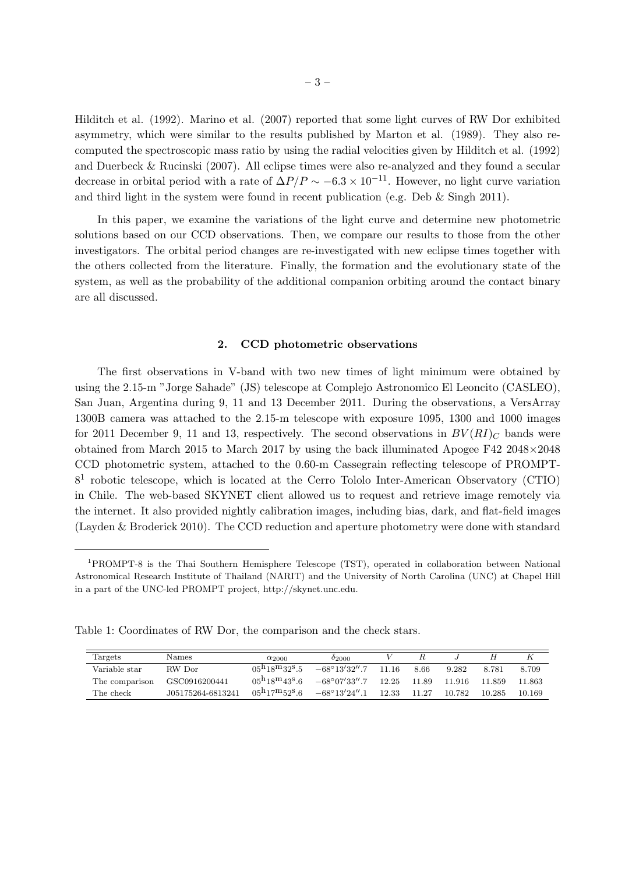Hilditch et al. (1992). Marino et al. (2007) reported that some light curves of RW Dor exhibited asymmetry, which were similar to the results published by Marton et al. (1989). They also recomputed the spectroscopic mass ratio by using the radial velocities given by Hilditch et al. (1992) and Duerbeck & Rucinski (2007). All eclipse times were also re-analyzed and they found a secular decrease in orbital period with a rate of  $\Delta P/P \sim -6.3 \times 10^{-11}$ . However, no light curve variation and third light in the system were found in recent publication (e.g. Deb & Singh 2011).

In this paper, we examine the variations of the light curve and determine new photometric solutions based on our CCD observations. Then, we compare our results to those from the other investigators. The orbital period changes are re-investigated with new eclipse times together with the others collected from the literature. Finally, the formation and the evolutionary state of the system, as well as the probability of the additional companion orbiting around the contact binary are all discussed.

### **2. CCD photometric observations**

The first observations in V-band with two new times of light minimum were obtained by using the 2.15-m "Jorge Sahade" (JS) telescope at Complejo Astronomico El Leoncito (CASLEO), San Juan, Argentina during 9, 11 and 13 December 2011. During the observations, a VersArray 1300B camera was attached to the 2.15-m telescope with exposure 1095, 1300 and 1000 images for 2011 December 9, 11 and 13, respectively. The second observations in  $BV(RI)_{C}$  bands were obtained from March 2015 to March 2017 by using the back illuminated Apogee F42 2048*×*2048 CCD photometric system, attached to the 0.60-m Cassegrain reflecting telescope of PROMPT-8<sup>1</sup> robotic telescope, which is located at the Cerro Tololo Inter-American Observatory (CTIO) in Chile. The web-based SKYNET client allowed us to request and retrieve image remotely via the internet. It also provided nightly calibration images, including bias, dark, and flat-field images (Layden & Broderick 2010). The CCD reduction and aperture photometry were done with standard

Table 1: Coordinates of RW Dor, the comparison and the check stars.

| Targets        | <b>Names</b>      | $\alpha_{2000}$                    | $^{02000}$                                  |          |       |          |        |        |
|----------------|-------------------|------------------------------------|---------------------------------------------|----------|-------|----------|--------|--------|
| Variable star  | RW Dor            | $0.5^{h}18^{m}32^{s}5$             | $-68^{\circ}13'32''.7$                      | $-11.16$ | 8.66  | 9.282    | 8.781  | 8.709  |
| The comparison | GSC0916200441     | $0.5^{h}18^{m}43^{s}6$             | $-68^{\circ}07'33''.7$                      | 12.25    | 11.89 | - 11.916 | 11.859 | 11.863 |
| The check      | J05175264-6813241 | $05^{\rm h}17^{\rm m}52^{\rm s}.6$ | $-68^{\circ}13^{\prime}24^{\prime\prime}.1$ | 12.33    | 11.27 | 10.782   | 10.285 | 10.169 |

<sup>1</sup>PROMPT-8 is the Thai Southern Hemisphere Telescope (TST), operated in collaboration between National Astronomical Research Institute of Thailand (NARIT) and the University of North Carolina (UNC) at Chapel Hill in a part of the UNC-led PROMPT project, http://skynet.unc.edu.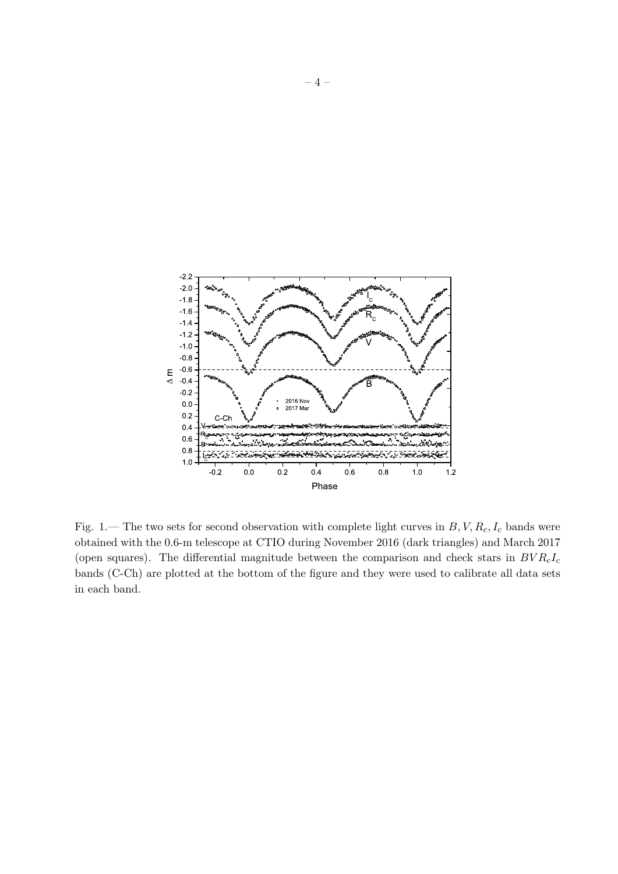

Fig. 1.— The two sets for second observation with complete light curves in *B, V, Rc, I<sup>c</sup>* bands were obtained with the 0.6-m telescope at CTIO during November 2016 (dark triangles) and March 2017 (open squares). The differential magnitude between the comparison and check stars in *BV RcI<sup>c</sup>* bands (C-Ch) are plotted at the bottom of the figure and they were used to calibrate all data sets in each band.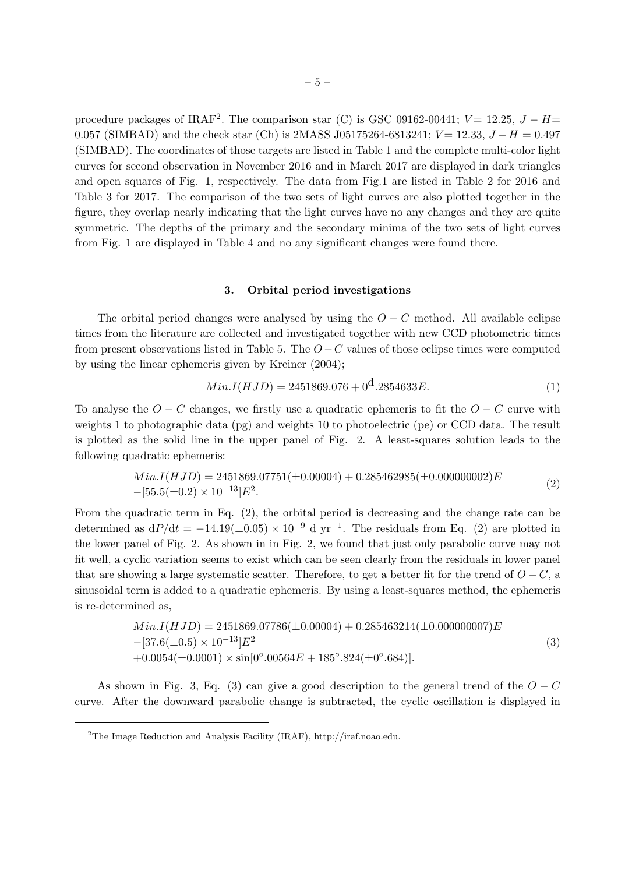procedure packages of IRAF<sup>2</sup>. The comparison star (C) is GSC 09162-00441;  $V = 12.25$ ,  $J - H =$ 0.057 (SIMBAD) and the check star (Ch) is 2MASS J05175264-6813241; *V* = 12.33, *J* − *H* = 0.497 (SIMBAD). The coordinates of those targets are listed in Table 1 and the complete multi-color light curves for second observation in November 2016 and in March 2017 are displayed in dark triangles and open squares of Fig. 1, respectively. The data from Fig.1 are listed in Table 2 for 2016 and Table 3 for 2017. The comparison of the two sets of light curves are also plotted together in the figure, they overlap nearly indicating that the light curves have no any changes and they are quite symmetric. The depths of the primary and the secondary minima of the two sets of light curves from Fig. 1 are displayed in Table 4 and no any significant changes were found there.

## **3. Orbital period investigations**

The orbital period changes were analysed by using the  $O - C$  method. All available eclipse times from the literature are collected and investigated together with new CCD photometric times from present observations listed in Table 5. The *O −C* values of those eclipse times were computed by using the linear ephemeris given by Kreiner (2004);

$$
Min.I(HJD) = 2451869.076 + 0^{\circ} .2854633E.
$$
\n<sup>(1)</sup>

To analyse the  $O - C$  changes, we firstly use a quadratic ephemeris to fit the  $O - C$  curve with weights 1 to photographic data (pg) and weights 10 to photoelectric (pe) or CCD data. The result is plotted as the solid line in the upper panel of Fig. 2. A least-squares solution leads to the following quadratic ephemeris:

$$
Min.I(HJD) = 2451869.07751(\pm 0.00004) + 0.285462985(\pm 0.000000002)E
$$
  
–[55.5( $\pm$ 0.2) × 10<sup>-13</sup>]E<sup>2</sup>. (2)

From the quadratic term in Eq. (2), the orbital period is decreasing and the change rate can be determined as  $dP/dt = -14.19(\pm 0.05) \times 10^{-9}$  d yr<sup>-1</sup>. The residuals from Eq. (2) are plotted in the lower panel of Fig. 2. As shown in in Fig. 2, we found that just only parabolic curve may not fit well, a cyclic variation seems to exist which can be seen clearly from the residuals in lower panel that are showing a large systematic scatter. Therefore, to get a better fit for the trend of  $O - C$ , a sinusoidal term is added to a quadratic ephemeris. By using a least-squares method, the ephemeris is re-determined as,

$$
Min.I(HJD) = 2451869.07786(\pm 0.00004) + 0.285463214(\pm 0.000000007)E
$$
  
–[37.6(\pm 0.5) × 10<sup>-13</sup>]E<sup>2</sup>  
+0.0054(\pm 0.0001) × sin[0°.00564E + 185°.824(\pm 0°.684)]. (3)

As shown in Fig. 3, Eq. (3) can give a good description to the general trend of the  $O - C$ curve. After the downward parabolic change is subtracted, the cyclic oscillation is displayed in

<sup>2</sup>The Image Reduction and Analysis Facility (IRAF), http://iraf.noao.edu.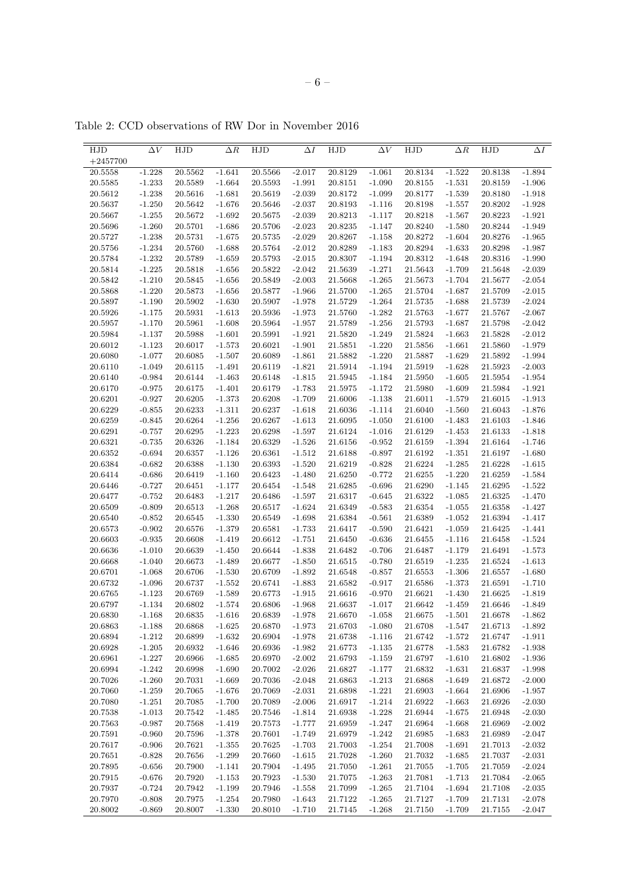| HJD        | $\Delta V$ | HJD     | $\Delta R$ | HJD     | $\Delta I$ | HJD         | $\Delta V$ | HJD     | $\Delta R$ | HJD     | $\Delta I$ |
|------------|------------|---------|------------|---------|------------|-------------|------------|---------|------------|---------|------------|
| $+2457700$ |            |         |            |         |            |             |            |         |            |         |            |
| 20.5558    | $-1.228$   | 20.5562 | $-1.641$   | 20.5566 | $-2.017$   | 20.8129     | $-1.061$   | 20.8134 | $-1.522$   | 20.8138 | $-1.894$   |
| 20.5585    | $-1.233$   | 20.5589 | $-1.664$   | 20.5593 | $-1.991$   | 20.8151     | $-1.090$   | 20.8155 | $-1.531$   | 20.8159 | $-1.906$   |
| 20.5612    | $-1.238$   | 20.5616 | $-1.681$   | 20.5619 | $-2.039$   | 20.8172     | $-1.099$   | 20.8177 | $-1.539$   | 20.8180 | $-1.918$   |
| 20.5637    | $-1.250$   | 20.5642 | $-1.676$   | 20.5646 | $-2.037$   | 20.8193     | $-1.116$   | 20.8198 | $-1.557$   | 20.8202 | $-1.928$   |
| 20.5667    | $-1.255$   | 20.5672 | $-1.692$   | 20.5675 | $-2.039$   | 20.8213     | $-1.117$   | 20.8218 | $-1.567$   | 20.8223 | $-1.921$   |
| 20.5696    | $-1.260$   | 20.5701 | $-1.686$   | 20.5706 | $-2.023$   | 20.8235     | $-1.147$   | 20.8240 | $-1.580$   | 20.8244 | $-1.949$   |
| 20.5727    | $-1.238$   | 20.5731 | $-1.675$   | 20.5735 | $-2.029$   | 20.8267     | $-1.158$   | 20.8272 | $-1.604$   | 20.8276 | $-1.965$   |
| 20.5756    | $-1.234$   | 20.5760 | $-1.688$   | 20.5764 | $-2.012$   | 20.8289     | $-1.183$   | 20.8294 | $-1.633$   | 20.8298 | $-1.987$   |
| 20.5784    | $-1.232$   | 20.5789 | $-1.659$   | 20.5793 | $-2.015$   | 20.8307     | $-1.194$   | 20.8312 | $-1.648$   | 20.8316 | $-1.990$   |
| 20.5814    | $-1.225$   | 20.5818 | $-1.656$   | 20.5822 | $-2.042$   | 21.5639     | $-1.271$   | 21.5643 | $-1.709$   | 21.5648 | $-2.039$   |
| 20.5842    | $-1.210$   | 20.5845 | $-1.656$   | 20.5849 | $-2.003$   | 21.5668     | $-1.265$   | 21.5673 | $-1.704$   | 21.5677 | $-2.054$   |
| 20.5868    | $-1.220$   | 20.5873 | $-1.656$   | 20.5877 | $-1.966$   | 21.5700     | $-1.265$   | 21.5704 | $-1.687$   | 21.5709 | $-2.015$   |
| 20.5897    | $-1.190$   | 20.5902 | $-1.630$   | 20.5907 | $-1.978$   | 21.5729     | $-1.264$   | 21.5735 | $-1.688$   | 21.5739 | $-2.024$   |
| 20.5926    | $-1.175$   | 20.5931 | $-1.613$   | 20.5936 | $-1.973$   | 21.5760     | $-1.282$   | 21.5763 | $-1.677$   | 21.5767 | $-2.067$   |
| 20.5957    | $-1.170$   | 20.5961 | $-1.608$   | 20.5964 | $-1.957$   | 21.5789     | $-1.256$   | 21.5793 | $-1.687$   | 21.5798 | $-2.042$   |
| 20.5984    | $-1.137$   | 20.5988 | $-1.601$   | 20.5991 | $-1.921$   | 21.5820     | $-1.249$   | 21.5824 | $-1.663$   | 21.5828 | $-2.012$   |
| 20.6012    | $-1.123$   | 20.6017 | $-1.573$   | 20.6021 | $-1.901$   | 21.5851     | $-1.220$   | 21.5856 | $-1.661$   | 21.5860 | $-1.979$   |
| 20.6080    | $-1.077$   | 20.6085 | $-1.507$   | 20.6089 | $-1.861$   | 21.5882     | $-1.220$   | 21.5887 | $-1.629$   | 21.5892 | $-1.994$   |
| 20.6110    | $-1.049$   | 20.6115 | $-1.491$   | 20.6119 | $-1.821$   | 21.5914     | $-1.194$   | 21.5919 | $-1.628$   | 21.5923 | $-2.003$   |
| 20.6140    | $-0.984$   | 20.6144 | $-1.463$   | 20.6148 | $-1.815$   | 21.5945     | $-1.184$   | 21.5950 | $-1.605$   | 21.5954 | $-1.954$   |
| 20.6170    | $-0.975$   | 20.6175 | $-1.401$   | 20.6179 | $-1.783$   | 21.5975     | $-1.172$   | 21.5980 | $-1.609$   | 21.5984 | $-1.921$   |
| 20.6201    | $-0.927$   | 20.6205 | $-1.373$   | 20.6208 | $-1.709$   | 21.6006     | $-1.138$   | 21.6011 | $-1.579$   | 21.6015 | $-1.913$   |
| 20.6229    | $-0.855$   | 20.6233 | $-1.311$   | 20.6237 | $-1.618$   | 21.6036     | $-1.114$   | 21.6040 | $-1.560$   | 21.6043 | $-1.876$   |
| 20.6259    | $-0.845$   | 20.6264 | $-1.256$   | 20.6267 | $-1.613$   | 21.6095     | $-1.050$   | 21.6100 | $-1.483$   | 21.6103 | $-1.846$   |
| 20.6291    | $-0.757$   | 20.6295 | $-1.223$   | 20.6298 | $-1.597$   | 21.6124     | $-1.016$   | 21.6129 | $-1.453$   | 21.6133 | $-1.818$   |
| 20.6321    | $-0.735$   | 20.6326 | $-1.184$   | 20.6329 | $-1.526$   | 21.6156     | $-0.952$   | 21.6159 | $-1.394$   | 21.6164 | $-1.746$   |
| 20.6352    | $-0.694$   | 20.6357 | $-1.126$   | 20.6361 | $-1.512$   | 21.6188     | $-0.897$   | 21.6192 | $-1.351$   | 21.6197 | $-1.680$   |
| 20.6384    | $-0.682$   | 20.6388 | $-1.130$   | 20.6393 | $-1.520$   | 21.6219     | $-0.828$   | 21.6224 | $-1.285$   | 21.6228 | $-1.615$   |
| 20.6414    | $-0.686$   | 20.6419 | $-1.160$   | 20.6423 | $-1.480$   | 21.6250     | $-0.772$   | 21.6255 | $-1.220$   | 21.6259 | $-1.584$   |
| 20.6446    | $-0.727$   | 20.6451 | $-1.177$   | 20.6454 | $-1.548$   | 21.6285     | $-0.696$   | 21.6290 | $-1.145$   | 21.6295 | $-1.522$   |
| 20.6477    | $-0.752$   | 20.6483 | $-1.217$   | 20.6486 | $-1.597$   | 21.6317     | $-0.645$   | 21.6322 | $-1.085$   | 21.6325 | $-1.470$   |
| 20.6509    | $-0.809$   | 20.6513 | $-1.268$   | 20.6517 | $-1.624$   | 21.6349     | $-0.583$   | 21.6354 | $-1.055$   | 21.6358 | $-1.427$   |
| 20.6540    | $-0.852$   | 20.6545 | $-1.330$   | 20.6549 | $-1.698$   | 21.6384     | $-0.561$   | 21.6389 | $-1.052$   | 21.6394 | $-1.417$   |
| 20.6573    | $-0.902$   | 20.6576 | $-1.379$   | 20.6581 | $-1.733$   | 21.6417     | $-0.590$   | 21.6421 | $-1.059$   | 21.6425 | $-1.441$   |
| 20.6603    | $-0.935$   | 20.6608 | $-1.419$   | 20.6612 | $-1.751$   | 21.6450     | $-0.636$   | 21.6455 | $-1.116$   | 21.6458 | $-1.524$   |
| 20.6636    | $-1.010$   | 20.6639 | $-1.450$   | 20.6644 | $-1.838$   | 21.6482     | $-0.706$   | 21.6487 | $-1.179$   | 21.6491 | $-1.573$   |
| 20.6668    | $-1.040$   | 20.6673 | $-1.489$   | 20.6677 | $-1.850$   | $21.6515\,$ | $-0.780$   | 21.6519 | $-1.235$   | 21.6524 | $-1.613$   |
| 20.6701    | $-1.068$   | 20.6706 | $-1.530$   | 20.6709 | $-1.892$   | 21.6548     | $-0.857$   | 21.6553 | $-1.306$   | 21.6557 | $-1.680$   |
| 20.6732    | $-1.096$   | 20.6737 | $-1.552$   | 20.6741 | $-1.883$   | 21.6582     | $-0.917$   | 21.6586 | $-1.373$   | 21.6591 | $-1.710$   |
| 20.6765    | $-1.123$   | 20.6769 | $-1.589$   | 20.6773 | $-1.915$   | 21.6616     | $-0.970$   | 21.6621 | $-1.430$   | 21.6625 | $-1.819$   |
| 20.6797    | $-1.134$   | 20.6802 | $-1.574$   | 20.6806 | $-1.968$   | 21.6637     | $-1.017$   | 21.6642 | $-1.459$   | 21.6646 | $-1.849$   |
| 20.6830    | $-1.168$   | 20.6835 | $-1.616$   | 20.6839 | $-1.978$   | 21.6670     | $-1.058$   | 21.6675 | $-1.501$   | 21.6678 | $-1.862$   |
| 20.6863    | $-1.188$   | 20.6868 | $-1.625$   | 20.6870 | $-1.973$   | 21.6703     | $-1.080$   | 21.6708 | $-1.547$   | 21.6713 | $-1.892$   |
| 20.6894    | $-1.212$   | 20.6899 | $-1.632$   | 20.6904 | $-1.978$   | 21.6738     | $-1.116$   | 21.6742 | $-1.572$   | 21.6747 | $-1.911$   |
| 20.6928    | $-1.205$   | 20.6932 | $-1.646$   | 20.6936 | $-1.982$   | 21.6773     | $-1.135$   | 21.6778 | $-1.583$   | 21.6782 | $-1.938$   |
| 20.6961    | $-1.227$   | 20.6966 | $-1.685$   | 20.6970 | $-2.002$   | 21.6793     | $-1.159$   | 21.6797 | $-1.610$   | 21.6802 | $-1.936$   |
| 20.6994    | $-1.242$   | 20.6998 | $-1.690$   | 20.7002 | $-2.026$   | 21.6827     | -1.177     | 21.6832 | $-1.631$   | 21.6837 | $-1.998$   |
| 20.7026    | $-1.260$   | 20.7031 | $-1.669$   | 20.7036 | $-2.048$   | 21.6863     | $-1.213$   | 21.6868 | $-1.649$   | 21.6872 | $-2.000$   |
| 20.7060    | $-1.259$   | 20.7065 | $-1.676$   | 20.7069 | $-2.031$   | 21.6898     | $-1.221$   | 21.6903 | $-1.664$   | 21.6906 | $-1.957$   |
| 20.7080    | $-1.251$   | 20.7085 | $-1.700$   | 20.7089 | $-2.006$   | 21.6917     | $-1.214$   | 21.6922 | $-1.663$   | 21.6926 | $-2.030$   |
| 20.7538    | $-1.013$   | 20.7542 | $-1.485$   | 20.7546 | $-1.814$   | 21.6938     | $-1.228$   | 21.6944 | $-1.675$   | 21.6948 | $-2.030$   |
| 20.7563    | $-0.987$   | 20.7568 | $-1.419$   | 20.7573 | $-1.777$   | 21.6959     | $-1.247$   | 21.6964 | $-1.668$   | 21.6969 | $-2.002$   |
| 20.7591    | $-0.960$   | 20.7596 | $-1.378$   | 20.7601 | $-1.749$   | 21.6979     | $-1.242$   | 21.6985 | $-1.683$   | 21.6989 | $-2.047$   |
| 20.7617    | $-0.906$   | 20.7621 | $-1.355$   | 20.7625 | $-1.703$   | 21.7003     | $-1.254$   | 21.7008 | $-1.691$   | 21.7013 | $-2.032$   |
| 20.7651    | $-0.828$   | 20.7656 | $-1.299$   | 20.7660 | $-1.615$   | 21.7028     | $-1.260$   | 21.7032 | $-1.685$   | 21.7037 | $-2.031$   |
| 20.7895    | $-0.656$   | 20.7900 | $-1.141$   | 20.7904 | $-1.495$   | 21.7050     | $-1.261$   | 21.7055 | $-1.705$   | 21.7059 | $-2.024$   |
| 20.7915    | $-0.676$   | 20.7920 | $-1.153$   | 20.7923 | $-1.530$   | 21.7075     | $-1.263$   | 21.7081 | $-1.713$   | 21.7084 | $-2.065$   |
| 20.7937    | $-0.724$   | 20.7942 | $-1.199$   | 20.7946 | $-1.558$   | 21.7099     | $-1.265$   | 21.7104 | $-1.694$   | 21.7108 | $-2.035$   |
| 20.7970    | $-0.808$   | 20.7975 | $-1.254$   | 20.7980 | $-1.643$   | 21.7122     | $-1.265$   | 21.7127 | $-1.709$   | 21.7131 | $-2.078$   |
| 20.8002    | $-0.869$   | 20.8007 | $-1.330$   | 20.8010 | $-1.710$   | 21.7145     | $-1.268$   | 21.7150 | $-1.709$   | 21.7155 | $-2.047$   |
|            |            |         |            |         |            |             |            |         |            |         |            |

Table 2: CCD observations of RW Dor in November 2016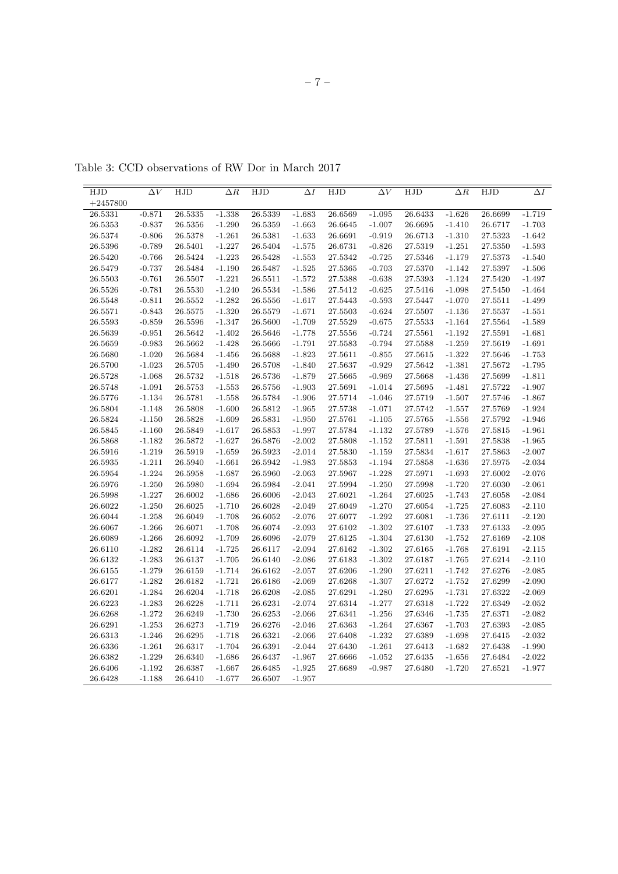| HJD         | $\Delta V$ | HJD                | $\Delta R$ | HJD     | $\Delta I$ | HJD         | $\Delta V$ | HJD     | $\Delta R$ | HJD     | $\Delta I$ |
|-------------|------------|--------------------|------------|---------|------------|-------------|------------|---------|------------|---------|------------|
| $+2457800$  |            |                    |            |         |            |             |            |         |            |         |            |
| 26.5331     | $-0.871$   | 26.5335            | $-1.338$   | 26.5339 | $-1.683$   | 26.6569     | $-1.095$   | 26.6433 | $-1.626$   | 26.6699 | $-1.719$   |
| 26.5353     | $-0.837$   | 26.5356            | $-1.290$   | 26.5359 | $-1.663$   | 26.6645     | $-1.007$   | 26.6695 | $-1.410$   | 26.6717 | $-1.703$   |
| 26.5374     | $-0.806$   | 26.5378            | $-1.261$   | 26.5381 | $-1.633$   | 26.6691     | $-0.919$   | 26.6713 | $-1.310$   | 27.5323 | $-1.642$   |
| 26.5396     | $-0.789$   | 26.5401            | $-1.227$   | 26.5404 | $-1.575$   | 26.6731     | $-0.826$   | 27.5319 | $-1.251$   | 27.5350 | $-1.593$   |
| 26.5420     | $-0.766$   | 26.5424            | $-1.223$   | 26.5428 | $-1.553$   | 27.5342     | $-0.725$   | 27.5346 | $-1.179$   | 27.5373 | $-1.540$   |
| 26.5479     | $-0.737$   | 26.5484            | $-1.190$   | 26.5487 | $-1.525$   | 27.5365     | $-0.703$   | 27.5370 | $-1.142$   | 27.5397 | $-1.506$   |
| 26.5503     | $-0.761$   | 26.5507            | $-1.221$   | 26.5511 | $-1.572$   | 27.5388     | $-0.638$   | 27.5393 | $-1.124$   | 27.5420 | $-1.497$   |
| 26.5526     | $-0.781$   | 26.5530            | $-1.240$   | 26.5534 | $-1.586$   | 27.5412     | $-0.625$   | 27.5416 | $-1.098$   | 27.5450 | $-1.464$   |
| 26.5548     | $-0.811$   | 26.5552            | $-1.282$   | 26.5556 | $-1.617$   | 27.5443     | $-0.593$   | 27.5447 | $-1.070$   | 27.5511 | $-1.499$   |
| 26.5571     | $-0.843$   | 26.5575            | $-1.320$   | 26.5579 | $-1.671$   | 27.5503     | $-0.624$   | 27.5507 | $-1.136$   | 27.5537 | $-1.551$   |
| 26.5593     | $-0.859$   | 26.5596            | $-1.347$   | 26.5600 | $-1.709$   | 27.5529     | $-0.675$   | 27.5533 | $-1.164$   | 27.5564 | $-1.589$   |
|             | $-0.951$   |                    | $-1.402$   |         | $-1.778$   | $27.5556\,$ | $-0.724$   | 27.5561 | $-1.192$   | 27.5591 | $-1.681$   |
| 26.5639     | $-0.983$   | 26.5642<br>26.5662 | $-1.428$   | 26.5646 |            |             |            |         | $-1.259$   |         | $-1.691$   |
| 26.5659     | $-1.020$   |                    | $-1.456$   | 26.5666 | $-1.791$   | 27.5583     | $-0.794$   | 27.5588 | $-1.322$   | 27.5619 | $-1.753$   |
| 26.5680     |            | 26.5684            |            | 26.5688 | $-1.823$   | 27.5611     | $-0.855$   | 27.5615 |            | 27.5646 |            |
| 26.5700     | $-1.023$   | 26.5705            | $-1.490$   | 26.5708 | $-1.840$   | 27.5637     | $-0.929$   | 27.5642 | $-1.381$   | 27.5672 | $-1.795$   |
| 26.5728     | $-1.068$   | 26.5732            | $-1.518$   | 26.5736 | $-1.879$   | 27.5665     | $-0.969$   | 27.5668 | $-1.436$   | 27.5699 | $-1.811$   |
| $26.5748\,$ | $-1.091$   | 26.5753            | $-1.553$   | 26.5756 | $-1.903$   | 27.5691     | $-1.014$   | 27.5695 | $-1.481$   | 27.5722 | $-1.907$   |
| 26.5776     | $-1.134$   | 26.5781            | $-1.558$   | 26.5784 | $-1.906$   | 27.5714     | $-1.046$   | 27.5719 | $-1.507$   | 27.5746 | $-1.867$   |
| 26.5804     | $-1.148$   | 26.5808            | $-1.600$   | 26.5812 | $-1.965$   | 27.5738     | $-1.071$   | 27.5742 | $-1.557$   | 27.5769 | $-1.924$   |
| 26.5824     | $-1.150$   | 26.5828            | $-1.609$   | 26.5831 | $-1.950$   | 27.5761     | $-1.105$   | 27.5765 | $-1.556$   | 27.5792 | $-1.946$   |
| 26.5845     | $-1.160$   | 26.5849            | $-1.617$   | 26.5853 | $-1.997$   | 27.5784     | $-1.132$   | 27.5789 | $-1.576$   | 27.5815 | $-1.961$   |
| 26.5868     | $-1.182$   | 26.5872            | $-1.627$   | 26.5876 | $-2.002$   | 27.5808     | $-1.152$   | 27.5811 | $-1.591$   | 27.5838 | $-1.965$   |
| 26.5916     | $-1.219$   | 26.5919            | $-1.659$   | 26.5923 | $-2.014$   | 27.5830     | $-1.159$   | 27.5834 | $-1.617$   | 27.5863 | $-2.007$   |
| 26.5935     | $-1.211$   | 26.5940            | $-1.661$   | 26.5942 | $-1.983$   | 27.5853     | $-1.194$   | 27.5858 | $-1.636$   | 27.5975 | $-2.034$   |
| 26.5954     | $-1.224$   | 26.5958            | $-1.687$   | 26.5960 | $-2.063$   | 27.5967     | $-1.228$   | 27.5971 | $-1.693$   | 27.6002 | $-2.076$   |
| 26.5976     | $-1.250$   | 26.5980            | $-1.694$   | 26.5984 | $-2.041$   | 27.5994     | $-1.250$   | 27.5998 | $-1.720$   | 27.6030 | $-2.061$   |
| 26.5998     | $-1.227$   | 26.6002            | $-1.686$   | 26.6006 | $-2.043$   | 27.6021     | $-1.264$   | 27.6025 | $-1.743$   | 27.6058 | $-2.084$   |
| 26.6022     | $-1.250$   | 26.6025            | $-1.710$   | 26.6028 | $-2.049$   | 27.6049     | $-1.270$   | 27.6054 | $-1.725$   | 27.6083 | $-2.110$   |
| 26.6044     | $-1.258$   | 26.6049            | $-1.708$   | 26.6052 | $-2.076$   | 27.6077     | $-1.292$   | 27.6081 | $-1.736$   | 27.6111 | $-2.120$   |
| 26.6067     | $-1.266$   | 26.6071            | $-1.708$   | 26.6074 | $-2.093$   | 27.6102     | $-1.302$   | 27.6107 | $-1.733$   | 27.6133 | $-2.095$   |
| 26.6089     | $-1.266$   | 26.6092            | $-1.709$   | 26.6096 | $-2.079$   | 27.6125     | $-1.304$   | 27.6130 | $-1.752$   | 27.6169 | $-2.108$   |
| 26.6110     | $-1.282$   | 26.6114            | $-1.725$   | 26.6117 | $-2.094$   | 27.6162     | $-1.302$   | 27.6165 | $-1.768$   | 27.6191 | $-2.115$   |
| 26.6132     | $-1.283$   | 26.6137            | $-1.705$   | 26.6140 | $-2.086$   | 27.6183     | $-1.302$   | 27.6187 | $-1.765$   | 27.6214 | $-2.110$   |
| 26.6155     | $-1.279$   | 26.6159            | $-1.714$   | 26.6162 | $-2.057$   | 27.6206     | $-1.290$   | 27.6211 | $-1.742$   | 27.6276 | $-2.085$   |
| 26.6177     | $-1.282$   | 26.6182            | $-1.721$   | 26.6186 | $-2.069$   | 27.6268     | $-1.307$   | 27.6272 | $-1.752$   | 27.6299 | $-2.090$   |
| 26.6201     | $-1.284$   | 26.6204            | $-1.718$   | 26.6208 | $-2.085$   | 27.6291     | $-1.280$   | 27.6295 | $-1.731$   | 27.6322 | $-2.069$   |
| 26.6223     | $-1.283$   | 26.6228            | $-1.711$   | 26.6231 | $-2.074$   | 27.6314     | $-1.277$   | 27.6318 | $-1.722$   | 27.6349 | $-2.052$   |
| 26.6268     | $-1.272$   | 26.6249            | $-1.730$   | 26.6253 | $-2.066$   | 27.6341     | $-1.256$   | 27.6346 | $-1.735$   | 27.6371 | $-2.082$   |
| 26.6291     | $-1.253$   | 26.6273            | $-1.719$   | 26.6276 | $-2.046$   | 27.6363     | $-1.264$   | 27.6367 | $-1.703$   | 27.6393 | $-2.085$   |
| 26.6313     | $-1.246$   | 26.6295            | $-1.718$   | 26.6321 | $-2.066$   | 27.6408     | $-1.232$   | 27.6389 | $-1.698$   | 27.6415 | $-2.032$   |
| 26.6336     | $-1.261$   | 26.6317            | $-1.704$   | 26.6391 | $-2.044$   | 27.6430     | $-1.261$   | 27.6413 | $-1.682$   | 27.6438 | $-1.990$   |
| 26.6382     | $-1.229$   | 26.6340            | $-1.686$   | 26.6437 | $-1.967$   | 27.6666     | $-1.052$   | 27.6435 | $-1.656$   | 27.6484 | $-2.022$   |
| 26.6406     | $-1.192$   | 26.6387            | $-1.667$   | 26.6485 | $-1.925$   | 27.6689     | $-0.987$   | 27.6480 | $-1.720$   | 27.6521 | $-1.977$   |
| 26.6428     | $-1.188$   | 26.6410            | $-1.677$   | 26.6507 | $-1.957$   |             |            |         |            |         |            |
|             |            |                    |            |         |            |             |            |         |            |         |            |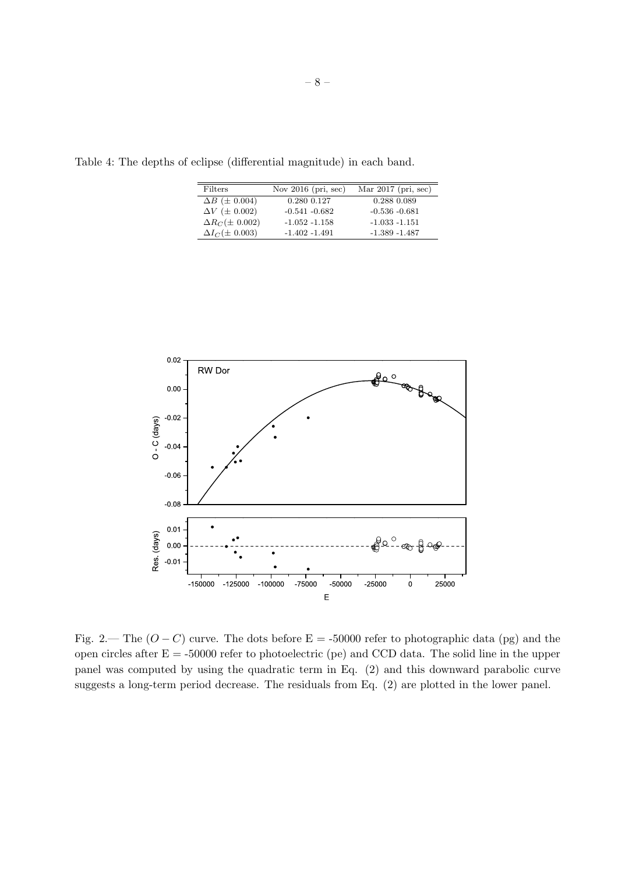| Table 4: The depths of eclipse (differential magnitude) in each band. |  |  |  |  |
|-----------------------------------------------------------------------|--|--|--|--|
|-----------------------------------------------------------------------|--|--|--|--|

| Filters                   | Nov $2016$ (pri, sec) | Mar $2017$ (pri, sec) |
|---------------------------|-----------------------|-----------------------|
| $\Delta B$ ( $\pm$ 0.004) | 0.280 0.127           | 0.288 0.089           |
| $\Delta V$ ( $\pm$ 0.002) | $-0.541 - 0.682$      | $-0.536 - 0.681$      |
| $\Delta R_C(\pm 0.002)$   | $-1.052 - 1.158$      | $-1.033 - 1.151$      |
| $\Delta I_C (\pm 0.003)$  | $-1.402 - 1.491$      | $-1.389 - 1.487$      |



Fig. 2.— The  $(O - C)$  curve. The dots before E = -50000 refer to photographic data (pg) and the open circles after  $E = -50000$  refer to photoelectric (pe) and CCD data. The solid line in the upper panel was computed by using the quadratic term in Eq. (2) and this downward parabolic curve suggests a long-term period decrease. The residuals from Eq. (2) are plotted in the lower panel.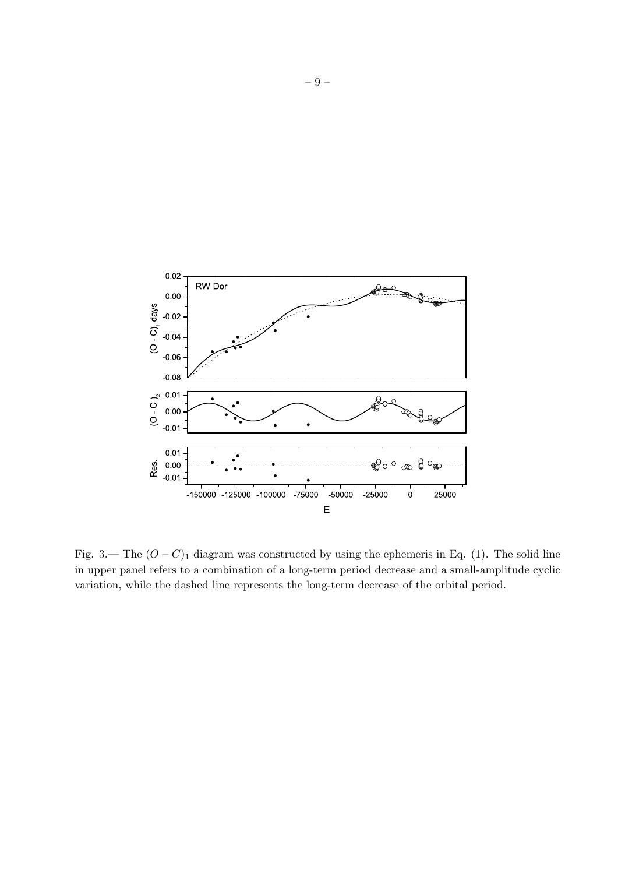

Fig. 3.— The  $(O - C)$ <sub>1</sub> diagram was constructed by using the ephemeris in Eq. (1). The solid line in upper panel refers to a combination of a long-term period decrease and a small-amplitude cyclic variation, while the dashed line represents the long-term decrease of the orbital period.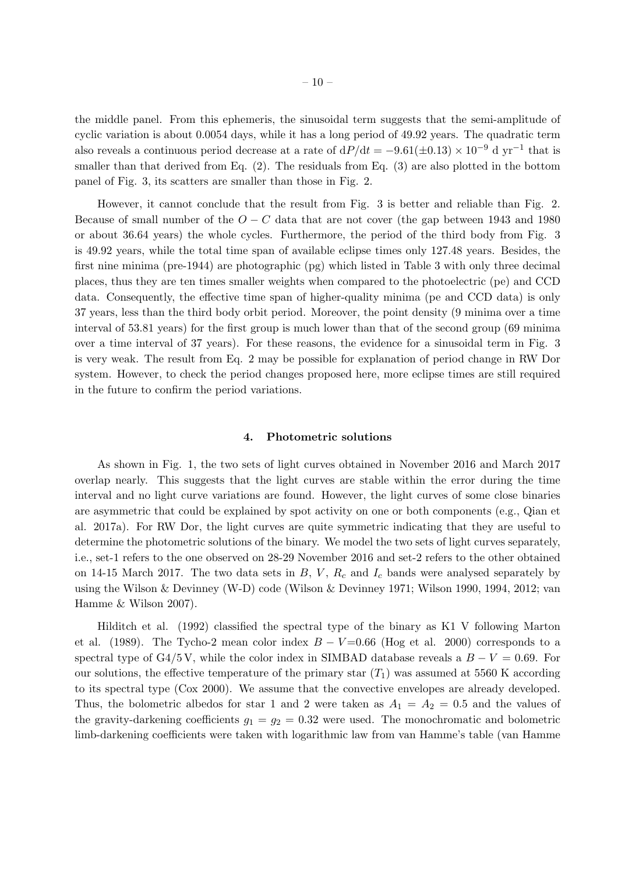the middle panel. From this ephemeris, the sinusoidal term suggests that the semi-amplitude of cyclic variation is about 0.0054 days, while it has a long period of 49.92 years. The quadratic term also reveals a continuous period decrease at a rate of  $dP/dt = -9.61(\pm 0.13) \times 10^{-9}$  d yr<sup>-1</sup> that is smaller than that derived from Eq. (2). The residuals from Eq. (3) are also plotted in the bottom panel of Fig. 3, its scatters are smaller than those in Fig. 2.

However, it cannot conclude that the result from Fig. 3 is better and reliable than Fig. 2. Because of small number of the  $O - C$  data that are not cover (the gap between 1943 and 1980 or about 36.64 years) the whole cycles. Furthermore, the period of the third body from Fig. 3 is 49.92 years, while the total time span of available eclipse times only 127.48 years. Besides, the first nine minima (pre-1944) are photographic (pg) which listed in Table 3 with only three decimal places, thus they are ten times smaller weights when compared to the photoelectric (pe) and CCD data. Consequently, the effective time span of higher-quality minima (pe and CCD data) is only 37 years, less than the third body orbit period. Moreover, the point density (9 minima over a time interval of 53.81 years) for the first group is much lower than that of the second group (69 minima over a time interval of 37 years). For these reasons, the evidence for a sinusoidal term in Fig. 3 is very weak. The result from Eq. 2 may be possible for explanation of period change in RW Dor system. However, to check the period changes proposed here, more eclipse times are still required in the future to confirm the period variations.

### **4. Photometric solutions**

As shown in Fig. 1, the two sets of light curves obtained in November 2016 and March 2017 overlap nearly. This suggests that the light curves are stable within the error during the time interval and no light curve variations are found. However, the light curves of some close binaries are asymmetric that could be explained by spot activity on one or both components (e.g., Qian et al. 2017a). For RW Dor, the light curves are quite symmetric indicating that they are useful to determine the photometric solutions of the binary. We model the two sets of light curves separately, i.e., set-1 refers to the one observed on 28-29 November 2016 and set-2 refers to the other obtained on 14-15 March 2017. The two data sets in  $B$ ,  $V$ ,  $R_c$  and  $I_c$  bands were analysed separately by using the Wilson & Devinney (W-D) code (Wilson & Devinney 1971; Wilson 1990, 1994, 2012; van Hamme & Wilson 2007).

Hilditch et al. (1992) classified the spectral type of the binary as K1 V following Marton et al. (1989). The Tycho-2 mean color index  $B - V = 0.66$  (Hog et al. 2000) corresponds to a spectral type of G4/5 V, while the color index in SIMBAD database reveals a  $B-V = 0.69$ . For our solutions, the effective temperature of the primary star  $(T_1)$  was assumed at 5560 K according to its spectral type (Cox 2000). We assume that the convective envelopes are already developed. Thus, the bolometric albedos for star 1 and 2 were taken as  $A_1 = A_2 = 0.5$  and the values of the gravity-darkening coefficients  $g_1 = g_2 = 0.32$  were used. The monochromatic and bolometric limb-darkening coefficients were taken with logarithmic law from van Hamme's table (van Hamme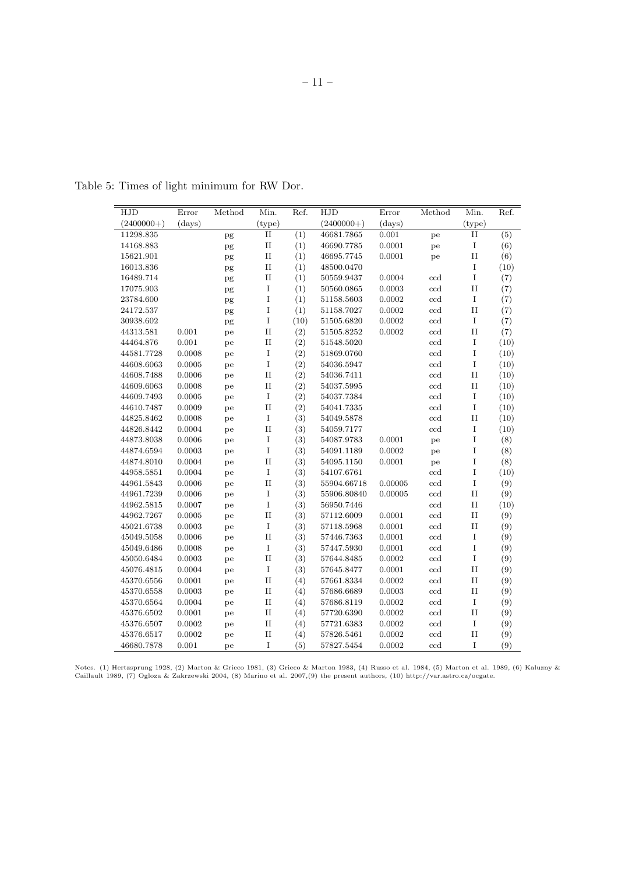| HJD          | Error  | Method   | Min.        | Ref. | HJD          | Error   | Method                    | Min.        | Ref. |
|--------------|--------|----------|-------------|------|--------------|---------|---------------------------|-------------|------|
| $(2400000+)$ | (days) |          | (type)      |      | $(2400000+)$ | (days)  |                           | (type)      |      |
| 11298.835    |        | pg       | $_{\rm II}$ | (1)  | 46681.7865   | 0.001   | pe                        | $\rm II$    | (5)  |
| 14168.883    |        | pg       | $\rm II$    | (1)  | 46690.7785   | 0.0001  | pe                        | $\bf I$     | (6)  |
| 15621.901    |        | pg       | $_{\rm II}$ | (1)  | 46695.7745   | 0.0001  | pe                        | $_{II}$     | (6)  |
| 16013.836    |        | pg       | $\rm II$    | (1)  | 48500.0470   |         |                           | $\bf I$     | (10) |
| 16489.714    |        | pg       | $_{\rm II}$ | (1)  | 50559.9437   | 0.0004  | $_{\rm ccd}$              | $\rm I$     | (7)  |
| 17075.903    |        | pg       | $\rm I$     | (1)  | 50560.0865   | 0.0003  | ccd                       | $\rm II$    | (7)  |
| 23784.600    |        | pg       | I           | (1)  | 51158.5603   | 0.0002  | ccd                       | $\bf I$     | (7)  |
| 24172.537    |        | pg       | I           | (1)  | 51158.7027   | 0.0002  | ccd                       | $\rm II$    | (7)  |
| 30938.602    |        | pg       | I           | (10) | 51505.6820   | 0.0002  | $\ensuremath{\text{ccd}}$ | $\bf I$     | (7)  |
| 44313.581    | 0.001  | pe       | $\rm II$    | (2)  | 51505.8252   | 0.0002  | ccd                       | $\rm II$    | (7)  |
| 44464.876    | 0.001  | pe       | $\rm II$    | (2)  | 51548.5020   |         | ccd                       | $\mathbf I$ | (10) |
| 44581.7728   | 0.0008 | pe       | I           | (2)  | 51869.0760   |         | ccd                       | $\mathbf I$ | (10) |
| 44608.6063   | 0.0005 | pe       | $\rm I$     | (2)  | 54036.5947   |         | ccd                       | $\bf I$     | (10) |
| 44608.7488   | 0.0006 | pe       | $_{\rm II}$ | (2)  | 54036.7411   |         | ccd                       | $\rm II$    | (10) |
| 44609.6063   | 0.0008 | pe       | $_{\rm II}$ | (2)  | 54037.5995   |         | ccd                       | $\rm II$    | (10) |
| 44609.7493   | 0.0005 | pe       | $\mathbf I$ | (2)  | 54037.7384   |         | ccd                       | $\mathbf I$ | (10) |
| 44610.7487   | 0.0009 | pe       | $\rm II$    | (2)  | 54041.7335   |         | ccd                       | $\mathbf I$ | (10) |
| 44825.8462   | 0.0008 | pe       | $\bf I$     | (3)  | 54049.5878   |         | ccd                       | $\rm II$    | (10) |
| 44826.8442   | 0.0004 | pe       | $_{\rm II}$ | (3)  | 54059.7177   |         | ccd                       | $\bf I$     | (10) |
| 44873.8038   | 0.0006 | pe       | I           | (3)  | 54087.9783   | 0.0001  | pe                        | $\mathbf I$ | (8)  |
| 44874.6594   | 0.0003 | pe       | $\mathbf I$ | (3)  | 54091.1189   | 0.0002  | pe                        | $\mathbf I$ | (8)  |
| 44874.8010   | 0.0004 | pe       | $\rm II$    | (3)  | 54095.1150   | 0.0001  | pe                        | $\mathbf I$ | (8)  |
| 44958.5851   | 0.0004 | pe       | $\mathbf I$ | (3)  | 54107.6761   |         | ccd                       | $\mathbf I$ | (10) |
| 44961.5843   | 0.0006 | pe       | $\rm II$    | (3)  | 55904.66718  | 0.00005 | ccd                       | $\mathbf I$ | (9)  |
| 44961.7239   | 0.0006 | pe       | $\mathbf I$ | (3)  | 55906.80840  | 0.00005 | $\operatorname{ccd}$      | $\rm II$    | (9)  |
| 44962.5815   | 0.0007 | pe       | $\bf I$     | (3)  | 56950.7446   |         | ccd                       | $\rm II$    | (10) |
| 44962.7267   | 0.0005 | pe       | $_{\rm II}$ | (3)  | 57112.6009   | 0.0001  | ccd                       | $\rm II$    | (9)  |
| 45021.6738   | 0.0003 | $\rm pe$ | $\rm I$     | (3)  | 57118.5968   | 0.0001  | ccd                       | $\rm II$    | (9)  |
| 45049.5058   | 0.0006 | pe       | $\rm II$    | (3)  | 57446.7363   | 0.0001  | $\operatorname{ccd}$      | $\mathbf I$ | (9)  |
| 45049.6486   | 0.0008 | pe       | $\rm I$     | (3)  | 57447.5930   | 0.0001  | ccd                       | $\mathbf I$ | (9)  |
| 45050.6484   | 0.0003 | pe       | $\rm II$    | (3)  | 57644.8485   | 0.0002  | ccd                       | $\rm I$     | (9)  |
| 45076.4815   | 0.0004 | pe       | $\bf I$     | (3)  | 57645.8477   | 0.0001  | ccd                       | $\rm II$    | (9)  |
| 45370.6556   | 0.0001 | pe       | $_{\rm II}$ | (4)  | 57661.8334   | 0.0002  | ccd                       | $\rm II$    | (9)  |
| 45370.6558   | 0.0003 | pe       | $_{\rm II}$ | (4)  | 57686.6689   | 0.0003  | ccd                       | $\rm II$    | (9)  |
| 45370.6564   | 0.0004 | pe       | $_{\rm II}$ | (4)  | 57686.8119   | 0.0002  | ccd                       | $\bf I$     | (9)  |
| 45376.6502   | 0.0001 | pe       | $\rm II$    | (4)  | 57720.6390   | 0.0002  | ccd                       | $\rm II$    | (9)  |
| 45376.6507   | 0.0002 | pe       | $\rm II$    | (4)  | 57721.6383   | 0.0002  | ccd                       | $\bf I$     | (9)  |
| 45376.6517   | 0.0002 | pe       | $\rm II$    | (4)  | 57826.5461   | 0.0002  | ccd                       | $\rm II$    | (9)  |
| 46680.7878   | 0.001  | pe       | I           | (5)  | 57827.5454   | 0.0002  | ccd                       | $\bf I$     | (9)  |

Table 5: Times of light minimum for RW Dor.

Notes. (1) Hertzsprung 1928, (2) Marton & Grieco 1981, (3) Grieco & Marton 1983, (4) Russo et al. 1984, (5) Marton et al. 1989, (6) Kaluzny &<br>Caillault 1989, (7) Ogloza & Zakrzewski 2004, (8) Marino et al. 2007,(9) the pre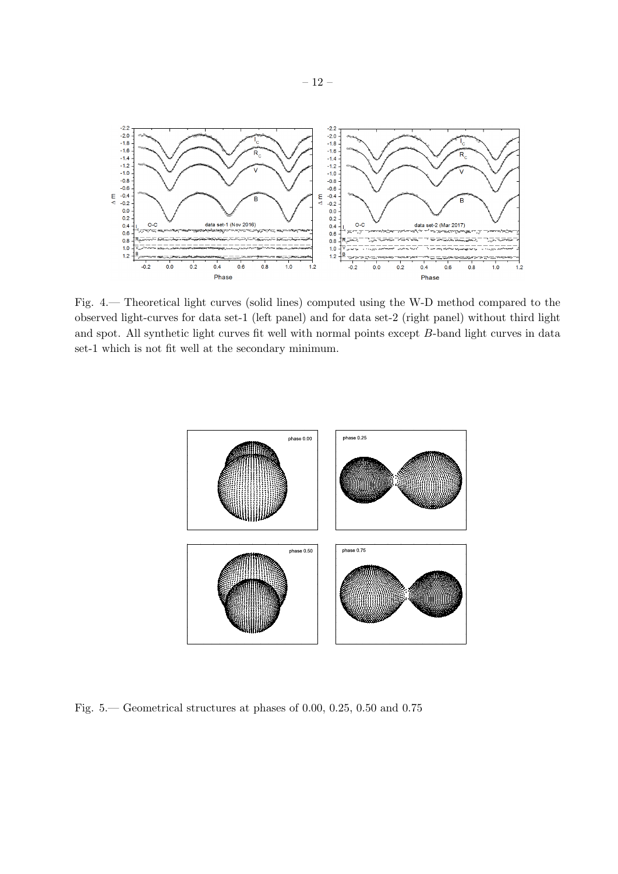

Fig. 4.— Theoretical light curves (solid lines) computed using the W-D method compared to the observed light-curves for data set-1 (left panel) and for data set-2 (right panel) without third light and spot. All synthetic light curves fit well with normal points except *B*-band light curves in data set-1 which is not fit well at the secondary minimum.



Fig. 5.— Geometrical structures at phases of 0.00, 0.25, 0.50 and 0.75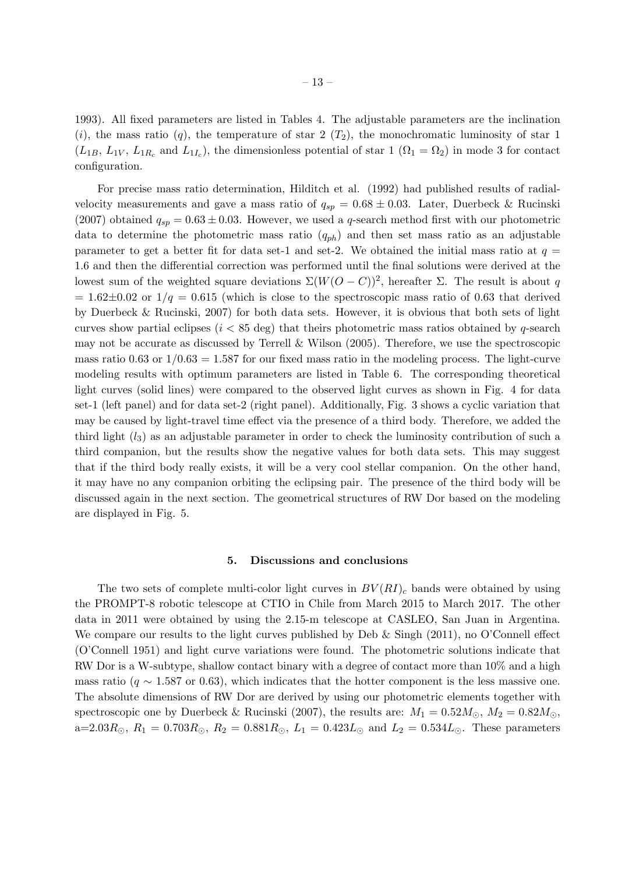1993). All fixed parameters are listed in Tables 4. The adjustable parameters are the inclination  $(i)$ , the mass ratio  $(q)$ , the temperature of star 2  $(T_2)$ , the monochromatic luminosity of star 1  $(L_{1B}, L_{1V}, L_{1R_c} \text{ and } L_{1I_c})$ , the dimensionless potential of star 1  $(\Omega_1 = \Omega_2)$  in mode 3 for contact configuration.

For precise mass ratio determination, Hilditch et al. (1992) had published results of radialvelocity measurements and gave a mass ratio of  $q_{sp} = 0.68 \pm 0.03$ . Later, Duerbeck & Rucinski (2007) obtained  $q_{sp} = 0.63 \pm 0.03$ . However, we used a *q*-search method first with our photometric data to determine the photometric mass ratio (*qph*) and then set mass ratio as an adjustable parameter to get a better fit for data set-1 and set-2. We obtained the initial mass ratio at  $q =$ 1.6 and then the differential correction was performed until the final solutions were derived at the lowest sum of the weighted square deviations  $\Sigma(W(O - C))^2$ , hereafter Σ. The result is about *q*  $= 1.62\pm0.02$  or  $1/q = 0.615$  (which is close to the spectroscopic mass ratio of 0.63 that derived by Duerbeck & Rucinski, 2007) for both data sets. However, it is obvious that both sets of light curves show partial eclipses (*i <* 85 deg) that theirs photometric mass ratios obtained by *q*-search may not be accurate as discussed by Terrell & Wilson (2005). Therefore, we use the spectroscopic mass ratio 0.63 or  $1/0.63 = 1.587$  for our fixed mass ratio in the modeling process. The light-curve modeling results with optimum parameters are listed in Table 6. The corresponding theoretical light curves (solid lines) were compared to the observed light curves as shown in Fig. 4 for data set-1 (left panel) and for data set-2 (right panel). Additionally, Fig. 3 shows a cyclic variation that may be caused by light-travel time effect via the presence of a third body. Therefore, we added the third light (*l*3) as an adjustable parameter in order to check the luminosity contribution of such a third companion, but the results show the negative values for both data sets. This may suggest that if the third body really exists, it will be a very cool stellar companion. On the other hand, it may have no any companion orbiting the eclipsing pair. The presence of the third body will be discussed again in the next section. The geometrical structures of RW Dor based on the modeling are displayed in Fig. 5.

#### **5. Discussions and conclusions**

The two sets of complete multi-color light curves in  $BV(RI)_c$  bands were obtained by using the PROMPT-8 robotic telescope at CTIO in Chile from March 2015 to March 2017. The other data in 2011 were obtained by using the 2.15-m telescope at CASLEO, San Juan in Argentina. We compare our results to the light curves published by Deb & Singh (2011), no O'Connell effect (O'Connell 1951) and light curve variations were found. The photometric solutions indicate that RW Dor is a W-subtype, shallow contact binary with a degree of contact more than 10% and a high mass ratio ( $q \sim 1.587$  or 0.63), which indicates that the hotter component is the less massive one. The absolute dimensions of RW Dor are derived by using our photometric elements together with spectroscopic one by Duerbeck & Rucinski (2007), the results are:  $M_1 = 0.52 M_{\odot}$ ,  $M_2 = 0.82 M_{\odot}$ ,  $a=2.03R_0$ ,  $R_1 = 0.703R_0$ ,  $R_2 = 0.881R_0$ ,  $L_1 = 0.423L_0$  and  $L_2 = 0.534L_0$ . These parameters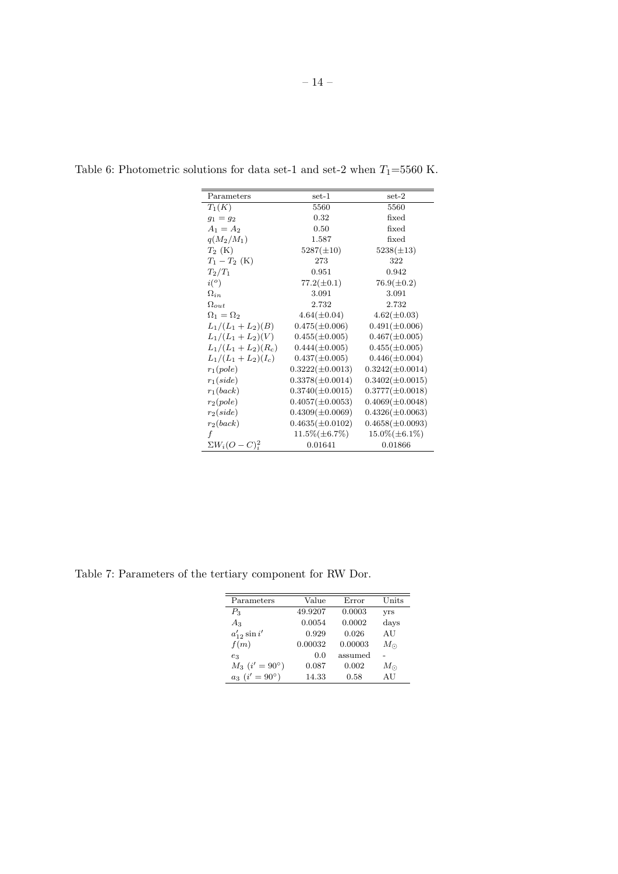| Parameters             | set-1                | $set-2$              |
|------------------------|----------------------|----------------------|
| $T_1(K)$               | 5560                 | 5560                 |
| $g_1 = g_2$            | 0.32                 | fixed                |
| $A_1 = A_2$            | 0.50                 | fixed                |
| $q(M_2/M_1)$           | 1.587                | fixed                |
| $T_2$ (K)              | $5287(\pm 10)$       | $5238(\pm 13)$       |
| $T_1 - T_2$ (K)        | 273                  | 322                  |
| $T_2/T_1$              | 0.951                | 0.942                |
| $i^{\left( o \right)}$ | $77.2(\pm 0.1)$      | $76.9(\pm 0.2)$      |
| $\Omega_{in}$          | 3.091                | 3.091                |
| $\Omega_{out}$         | 2.732                | 2.732                |
| $\Omega_1 = \Omega_2$  | $4.64(\pm 0.04)$     | $4.62(\pm 0.03)$     |
| $L_1/(L_1+L_2)(B)$     | $0.475(\pm 0.006)$   | $0.491(\pm 0.006)$   |
| $L_1/(L_1+L_2)(V)$     | $0.455(\pm 0.005)$   | $0.467(\pm 0.005)$   |
| $L_1/(L_1+L_2)(R_c)$   | $0.444(\pm 0.005)$   | $0.455(\pm 0.005)$   |
| $L_1/(L_1+L_2)(I_c)$   | $0.437(\pm 0.005)$   | $0.446(\pm 0.004)$   |
| $r_1(pole)$            | $0.3222(\pm 0.0013)$ | $0.3242(\pm 0.0014)$ |
| $r_1(side)$            | $0.3378(\pm 0.0014)$ | $0.3402(\pm 0.0015)$ |
| $r_1(back)$            | $0.3740(\pm 0.0015)$ | $0.3777(\pm 0.0018)$ |
| $r_2(pole)$            | $0.4057(\pm 0.0053)$ | $0.4069(\pm 0.0048)$ |
| $r_2(side)$            | $0.4309(\pm 0.0069)$ | $0.4326(\pm 0.0063)$ |
| $r_2(back)$            | $0.4635(\pm 0.0102)$ | $0.4658(\pm 0.0093)$ |
| f                      | $11.5\%(\pm 6.7\%)$  | $15.0\%(\pm 6.1\%)$  |
| $\sum W_i (O-C)^2_i$   | 0.01641              | 0.01866              |

Table 6: Photometric solutions for data set-1 and set-2 when  $T_1\!\!=\!\!5560$  K.

Table 7: Parameters of the tertiary component for RW Dor.

| Parameters                | Value   | Error   | Units       |
|---------------------------|---------|---------|-------------|
| $P_3$                     | 49.9207 | 0.0003  | yrs         |
| $A_3$                     | 0.0054  | 0.0002  | days        |
| $a'_{12} \sin i'$         | 0.929   | 0.026   | AU          |
| f(m)                      | 0.00032 | 0.00003 | $M_{\odot}$ |
| $e_3$                     | 0.0     | assumed |             |
| $M_3$ $(i' = 90^{\circ})$ | 0.087   | 0.002   | $M_{\odot}$ |
| $a_3$ $(i' = 90^{\circ})$ | 14.33   | 0.58    | AU          |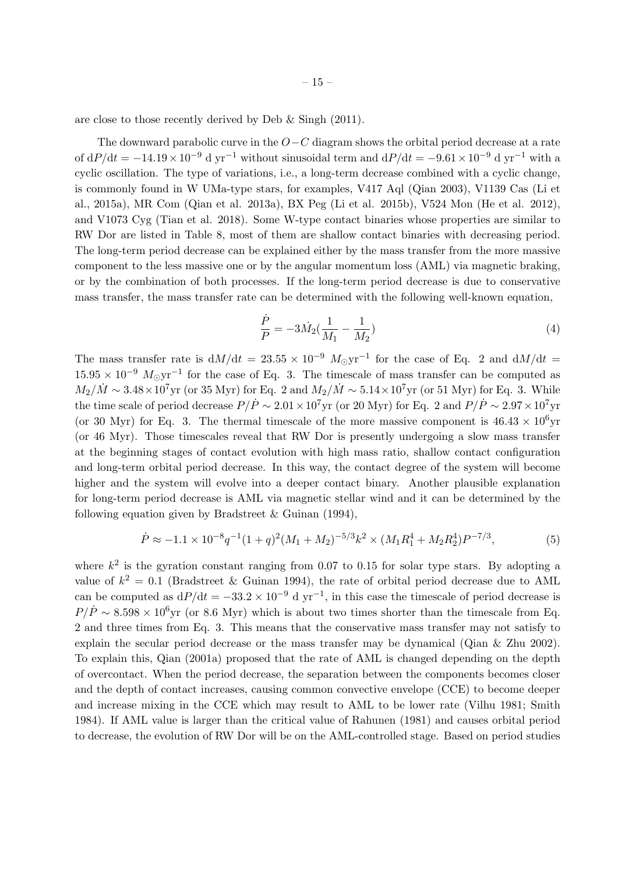are close to those recently derived by Deb & Singh (2011).

The downward parabolic curve in the *O−C* diagram shows the orbital period decrease at a rate of  $dP/dt = -14.19 \times 10^{-9}$  d yr<sup>-1</sup> without sinusoidal term and  $dP/dt = -9.61 \times 10^{-9}$  d yr<sup>-1</sup> with a cyclic oscillation. The type of variations, i.e., a long-term decrease combined with a cyclic change, is commonly found in W UMa-type stars, for examples, V417 Aql (Qian 2003), V1139 Cas (Li et al., 2015a), MR Com (Qian et al. 2013a), BX Peg (Li et al. 2015b), V524 Mon (He et al. 2012), and V1073 Cyg (Tian et al. 2018). Some W-type contact binaries whose properties are similar to RW Dor are listed in Table 8, most of them are shallow contact binaries with decreasing period. The long-term period decrease can be explained either by the mass transfer from the more massive component to the less massive one or by the angular momentum loss (AML) via magnetic braking, or by the combination of both processes. If the long-term period decrease is due to conservative mass transfer, the mass transfer rate can be determined with the following well-known equation,

$$
\frac{\dot{P}}{P} = -3\dot{M}_2(\frac{1}{M_1} - \frac{1}{M_2})
$$
\n(4)

The mass transfer rate is  $dM/dt = 23.55 \times 10^{-9} M_{\odot}yr^{-1}$  for the case of Eq. 2 and  $dM/dt =$ <sup>15</sup>*.*<sup>95</sup> *<sup>×</sup>* <sup>10</sup>*−*<sup>9</sup> *<sup>M</sup>⊙*yr*−*<sup>1</sup> for the case of Eq. 3. The timescale of mass transfer can be computed as  $M_2/\dot{M} \sim 3.48 \times 10^7$  yr (or 35 Myr) for Eq. 2 and  $M_2/\dot{M} \sim 5.14 \times 10^7$  yr (or 51 Myr) for Eq. 3. While the time scale of period decrease  $P/\dot{P} \sim 2.01 \times 10^7$  yr (or 20 Myr) for Eq. 2 and  $P/\dot{P} \sim 2.97 \times 10^7$  yr (or 30 Myr) for Eq. 3. The thermal timescale of the more massive component is  $46.43 \times 10^6$ yr (or 46 Myr). Those timescales reveal that RW Dor is presently undergoing a slow mass transfer at the beginning stages of contact evolution with high mass ratio, shallow contact configuration and long-term orbital period decrease. In this way, the contact degree of the system will become higher and the system will evolve into a deeper contact binary. Another plausible explanation for long-term period decrease is AML via magnetic stellar wind and it can be determined by the following equation given by Bradstreet & Guinan (1994),

$$
\dot{P} \approx -1.1 \times 10^{-8} q^{-1} (1+q)^2 (M_1 + M_2)^{-5/3} k^2 \times (M_1 R_1^4 + M_2 R_2^4) P^{-7/3},\tag{5}
$$

where  $k^2$  is the gyration constant ranging from 0.07 to 0.15 for solar type stars. By adopting a value of  $k^2 = 0.1$  (Bradstreet & Guinan 1994), the rate of orbital period decrease due to AML can be computed as  $dP/dt = -33.2 \times 10^{-9}$  d yr<sup>-1</sup>, in this case the timescale of period decrease is  $P/\dot{P} \sim 8.598 \times 10^6$  yr (or 8.6 Myr) which is about two times shorter than the timescale from Eq. 2 and three times from Eq. 3. This means that the conservative mass transfer may not satisfy to explain the secular period decrease or the mass transfer may be dynamical (Qian & Zhu 2002). To explain this, Qian (2001a) proposed that the rate of AML is changed depending on the depth of overcontact. When the period decrease, the separation between the components becomes closer and the depth of contact increases, causing common convective envelope (CCE) to become deeper and increase mixing in the CCE which may result to AML to be lower rate (Vilhu 1981; Smith 1984). If AML value is larger than the critical value of Rahunen (1981) and causes orbital period to decrease, the evolution of RW Dor will be on the AML-controlled stage. Based on period studies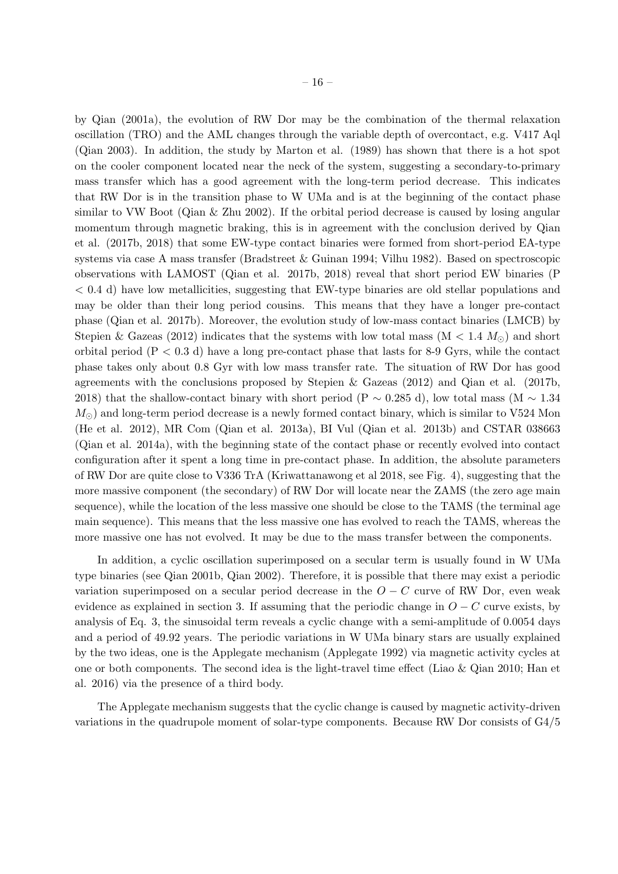by Qian (2001a), the evolution of RW Dor may be the combination of the thermal relaxation oscillation (TRO) and the AML changes through the variable depth of overcontact, e.g. V417 Aql (Qian 2003). In addition, the study by Marton et al. (1989) has shown that there is a hot spot on the cooler component located near the neck of the system, suggesting a secondary-to-primary mass transfer which has a good agreement with the long-term period decrease. This indicates that RW Dor is in the transition phase to W UMa and is at the beginning of the contact phase similar to VW Boot (Qian & Zhu 2002). If the orbital period decrease is caused by losing angular momentum through magnetic braking, this is in agreement with the conclusion derived by Qian et al. (2017b, 2018) that some EW-type contact binaries were formed from short-period EA-type systems via case A mass transfer (Bradstreet & Guinan 1994; Vilhu 1982). Based on spectroscopic observations with LAMOST (Qian et al. 2017b, 2018) reveal that short period EW binaries (P *<* 0.4 d) have low metallicities, suggesting that EW-type binaries are old stellar populations and may be older than their long period cousins. This means that they have a longer pre-contact phase (Qian et al. 2017b). Moreover, the evolution study of low-mass contact binaries (LMCB) by Stepien & Gazeas (2012) indicates that the systems with low total mass ( $M < 1.4 M_{\odot}$ ) and short orbital period (P *<* 0.3 d) have a long pre-contact phase that lasts for 8-9 Gyrs, while the contact phase takes only about 0.8 Gyr with low mass transfer rate. The situation of RW Dor has good agreements with the conclusions proposed by Stepien & Gazeas  $(2012)$  and Qian et al.  $(2017b,$ 2018) that the shallow-contact binary with short period (P *∼* 0.285 d), low total mass (M *∼* 1.34 *M*<sub>○</sub>) and long-term period decrease is a newly formed contact binary, which is similar to V524 Mon (He et al. 2012), MR Com (Qian et al. 2013a), BI Vul (Qian et al. 2013b) and CSTAR 038663 (Qian et al. 2014a), with the beginning state of the contact phase or recently evolved into contact configuration after it spent a long time in pre-contact phase. In addition, the absolute parameters of RW Dor are quite close to V336 TrA (Kriwattanawong et al 2018, see Fig. 4), suggesting that the more massive component (the secondary) of RW Dor will locate near the ZAMS (the zero age main sequence), while the location of the less massive one should be close to the TAMS (the terminal age main sequence). This means that the less massive one has evolved to reach the TAMS, whereas the more massive one has not evolved. It may be due to the mass transfer between the components.

In addition, a cyclic oscillation superimposed on a secular term is usually found in W UMa type binaries (see Qian 2001b, Qian 2002). Therefore, it is possible that there may exist a periodic variation superimposed on a secular period decrease in the  $O - C$  curve of RW Dor, even weak evidence as explained in section 3. If assuming that the periodic change in  $O - C$  curve exists, by analysis of Eq. 3, the sinusoidal term reveals a cyclic change with a semi-amplitude of 0.0054 days and a period of 49.92 years. The periodic variations in W UMa binary stars are usually explained by the two ideas, one is the Applegate mechanism (Applegate 1992) via magnetic activity cycles at one or both components. The second idea is the light-travel time effect (Liao & Qian 2010; Han et al. 2016) via the presence of a third body.

The Applegate mechanism suggests that the cyclic change is caused by magnetic activity-driven variations in the quadrupole moment of solar-type components. Because RW Dor consists of G4/5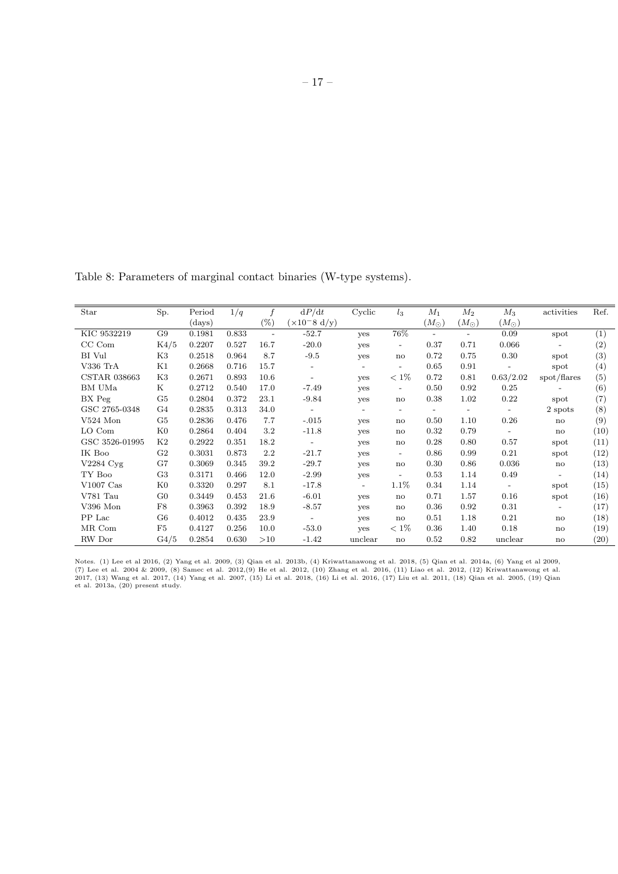Table 8: Parameters of marginal contact binaries (W-type systems).

| Star                | Sp.            | Period         | 1/q   |                          | dP/dt                    | Cyclic                   | $l_3$                    | $M_1$         | $M_2$                    | $M_3$                    | activities               | Ref.             |
|---------------------|----------------|----------------|-------|--------------------------|--------------------------|--------------------------|--------------------------|---------------|--------------------------|--------------------------|--------------------------|------------------|
|                     |                | ${\rm (days)}$ |       | (%)                      | $(x10^{-8} d/y)$         |                          |                          | $(M_{\odot})$ | $(M_{\odot})$            | $(M_\odot)$              |                          |                  |
| KIC 9532219         | G9             | 0.1981         | 0.833 | $\overline{\phantom{a}}$ | $-52.7$                  | <b>ves</b>               | 76%                      |               | $\overline{\phantom{0}}$ | 0.09                     | spot                     | (1)              |
| CC Com              | K4/5           | 0.2207         | 0.527 | 16.7                     | $-20.0$                  | yes                      | $\overline{\phantom{a}}$ | 0.37          | 0.71                     | 0.066                    | $\overline{\phantom{a}}$ | (2)              |
| BI Vul              | K3             | 0.2518         | 0.964 | 8.7                      | $-9.5$                   | yes                      | $\mathbf{n}$             | 0.72          | 0.75                     | 0.30                     | spot                     | $\left(3\right)$ |
| $V336$ TrA          | Κ1             | 0.2668         | 0.716 | 15.7                     | $\overline{\phantom{0}}$ | $\overline{\phantom{0}}$ | $\overline{a}$           | 0.65          | 0.91                     | $\overline{\phantom{a}}$ | spot                     | (4)              |
| <b>CSTAR 038663</b> | K3             | 0.2671         | 0.893 | 10.6                     | $\overline{\phantom{a}}$ | <b>ves</b>               | $< 1\%$                  | 0.72          | 0.81                     | 0.63/2.02                | spot/flares              | (5)              |
| BM UMa              | Κ              | 0.2712         | 0.540 | 17.0                     | $-7.49$                  | yes                      | $\overline{\phantom{a}}$ | 0.50          | 0.92                     | 0.25                     |                          | (6)              |
| BX Peg              | G <sub>5</sub> | 0.2804         | 0.372 | 23.1                     | $-9.84$                  | <b>ves</b>               | $\mathbf{n}$             | 0.38          | 1.02                     | 0.22                     | spot                     | (7)              |
| GSC 2765-0348       | G4             | 0.2835         | 0.313 | 34.0                     | $\sim$                   | $\overline{\phantom{a}}$ | $\overline{\phantom{a}}$ |               | $\overline{\phantom{a}}$ | $-$                      | 2 spots                  | (8)              |
| $V524$ Mon          | G <sub>5</sub> | 0.2836         | 0.476 | 7.7                      | $-.015$                  | yes                      | $\mathbf{n}$             | 0.50          | 1.10                     | 0.26                     | $\mathbf{n}$             | (9)              |
| LO Com              | K0             | 0.2864         | 0.404 | 3.2                      | $-11.8$                  | yes                      | $\mathbf{n}$             | 0.32          | 0.79                     | $\overline{\phantom{a}}$ | no                       | (10)             |
| GSC 3526-01995      | K2             | 0.2922         | 0.351 | 18.2                     | $\overline{\phantom{a}}$ | yes                      | $\mathbf{n}$             | 0.28          | 0.80                     | 0.57                     | spot                     | (11)             |
| IK Boo              | G <sub>2</sub> | 0.3031         | 0.873 | 2.2                      | $-21.7$                  | yes                      | $\overline{\phantom{a}}$ | 0.86          | 0.99                     | 0.21                     | spot                     | (12)             |
| V2284 Cyg           | G7             | 0.3069         | 0.345 | 39.2                     | $-29.7$                  | <b>ves</b>               | $\mathbf{n}$             | 0.30          | 0.86                     | 0.036                    | $\mathbf{n}$             | (13)             |
| TY Boo              | G <sub>3</sub> | 0.3171         | 0.466 | 12.0                     | $-2.99$                  | yes                      | $\overline{\phantom{a}}$ | 0.53          | 1.14                     | 0.49                     | $\overline{\phantom{a}}$ | (14)             |
| $V1007$ Cas         | K0             | 0.3320         | 0.297 | 8.1                      | $-17.8$                  | $\overline{\phantom{a}}$ | 1.1%                     | 0.34          | 1.14                     | $\overline{\phantom{a}}$ | spot                     | (15)             |
| V781 Tau            | $_{\rm G0}$    | 0.3449         | 0.453 | 21.6                     | $-6.01$                  | yes                      | $\mathbf{n}$             | 0.71          | 1.57                     | 0.16                     | spot                     | (16)             |
| V396 Mon            | F8             | 0.3963         | 0.392 | 18.9                     | $-8.57$                  | yes                      | $\mathbf{n}$             | 0.36          | 0.92                     | 0.31                     | $\overline{\phantom{a}}$ | (17)             |
| PP Lac              | G6             | 0.4012         | 0.435 | 23.9                     | $\overline{\phantom{a}}$ | yes                      | $\mathbf{n}$             | 0.51          | 1.18                     | 0.21                     | $\mathbf{n}$             | (18)             |
| MR Com              | F5             | 0.4127         | 0.256 | 10.0                     | $-53.0$                  | yes                      | $< 1\%$                  | 0.36          | 1.40                     | 0.18                     | no                       | (19)             |
| RW Dor              | G4/5           | 0.2854         | 0.630 | >10                      | $-1.42$                  | unclear                  | $\mathbf{n}$             | 0.52          | 0.82                     | unclear                  | $\mathbf{n}$             | (20)             |

Notes. (1) Lee et al 2016, (2) Yang et al. 2009, (3) Qian et al. 2013b, (4) Kriwattanawong et al. 2018, (5) Qian et al. 2014a, (6) Yang et al 2009, (7) Lee et al. 2004 & 2009, (8) Samec et al. 2012,(9) He et al. 2012, (10)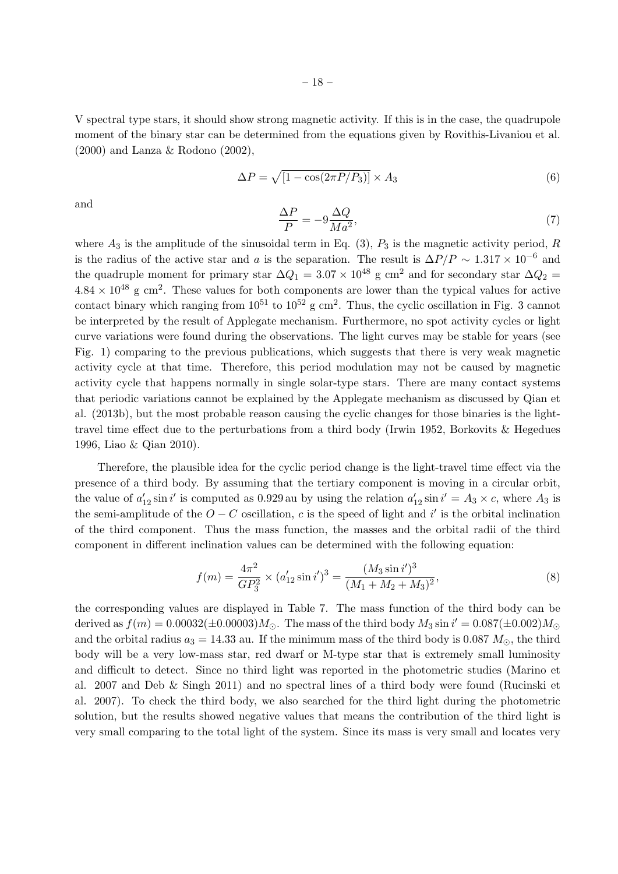V spectral type stars, it should show strong magnetic activity. If this is in the case, the quadrupole moment of the binary star can be determined from the equations given by Rovithis-Livaniou et al. (2000) and Lanza & Rodono (2002),

$$
\Delta P = \sqrt{\left[1 - \cos(2\pi P/P_3)\right]} \times A_3 \tag{6}
$$

and  $\Delta P$ 

$$
\frac{\Delta P}{P} = -9\frac{\Delta Q}{Ma^2},\tag{7}
$$

where  $A_3$  is the amplitude of the sinusoidal term in Eq. (3),  $P_3$  is the magnetic activity period,  $R$ is the radius of the active star and *a* is the separation. The result is  $\Delta P/P \sim 1.317 \times 10^{-6}$  and the quadruple moment for primary star  $\Delta Q_1 = 3.07 \times 10^{48}$  g cm<sup>2</sup> and for secondary star  $\Delta Q_2 =$  $4.84 \times 10^{48}$  g cm<sup>2</sup>. These values for both components are lower than the typical values for active contact binary which ranging from  $10^{51}$  to  $10^{52}$  g cm<sup>2</sup>. Thus, the cyclic oscillation in Fig. 3 cannot be interpreted by the result of Applegate mechanism. Furthermore, no spot activity cycles or light curve variations were found during the observations. The light curves may be stable for years (see Fig. 1) comparing to the previous publications, which suggests that there is very weak magnetic activity cycle at that time. Therefore, this period modulation may not be caused by magnetic activity cycle that happens normally in single solar-type stars. There are many contact systems that periodic variations cannot be explained by the Applegate mechanism as discussed by Qian et al. (2013b), but the most probable reason causing the cyclic changes for those binaries is the lighttravel time effect due to the perturbations from a third body (Irwin 1952, Borkovits & Hegedues 1996, Liao & Qian 2010).

Therefore, the plausible idea for the cyclic period change is the light-travel time effect via the presence of a third body. By assuming that the tertiary component is moving in a circular orbit, the value of  $a'_{12} \sin i'$  is computed as 0.929 au by using the relation  $a'_{12} \sin i' = A_3 \times c$ , where  $A_3$  is the semi-amplitude of the  $O - C$  oscillation,  $c$  is the speed of light and  $i'$  is the orbital inclination of the third component. Thus the mass function, the masses and the orbital radii of the third component in different inclination values can be determined with the following equation:

$$
f(m) = \frac{4\pi^2}{GP_3^2} \times (a'_{12}\sin i')^3 = \frac{(M_3\sin i')^3}{(M_1 + M_2 + M_3)^2},\tag{8}
$$

the corresponding values are displayed in Table 7. The mass function of the third body can be  $\det(M) = 0.00032(\pm 0.00003)M_{\odot}$ . The mass of the third body  $M_3 \sin i' = 0.087(\pm 0.002)M_{\odot}$ and the orbital radius  $a_3 = 14.33$  au. If the minimum mass of the third body is 0.087  $M_{\odot}$ , the third body will be a very low-mass star, red dwarf or M-type star that is extremely small luminosity and difficult to detect. Since no third light was reported in the photometric studies (Marino et al. 2007 and Deb & Singh 2011) and no spectral lines of a third body were found (Rucinski et al. 2007). To check the third body, we also searched for the third light during the photometric solution, but the results showed negative values that means the contribution of the third light is very small comparing to the total light of the system. Since its mass is very small and locates very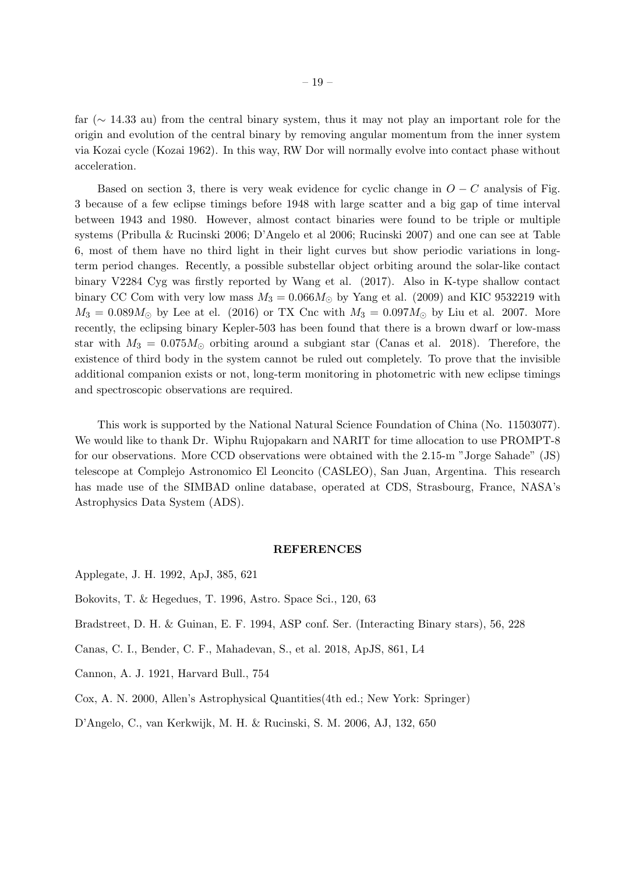far (*∼* 14.33 au) from the central binary system, thus it may not play an important role for the origin and evolution of the central binary by removing angular momentum from the inner system via Kozai cycle (Kozai 1962). In this way, RW Dor will normally evolve into contact phase without acceleration.

Based on section 3, there is very weak evidence for cyclic change in  $O - C$  analysis of Fig. 3 because of a few eclipse timings before 1948 with large scatter and a big gap of time interval between 1943 and 1980. However, almost contact binaries were found to be triple or multiple systems (Pribulla & Rucinski 2006; D'Angelo et al 2006; Rucinski 2007) and one can see at Table 6, most of them have no third light in their light curves but show periodic variations in longterm period changes. Recently, a possible substellar object orbiting around the solar-like contact binary V2284 Cyg was firstly reported by Wang et al. (2017). Also in K-type shallow contact binary CC Com with very low mass  $M_3 = 0.066 M_{\odot}$  by Yang et al. (2009) and KIC 9532219 with  $M_3 = 0.089M_\odot$  by Lee at el. (2016) or TX Cnc with  $M_3 = 0.097M_\odot$  by Liu et al. 2007. More recently, the eclipsing binary Kepler-503 has been found that there is a brown dwarf or low-mass star with  $M_3 = 0.075 M_{\odot}$  orbiting around a subgiant star (Canas et al. 2018). Therefore, the existence of third body in the system cannot be ruled out completely. To prove that the invisible additional companion exists or not, long-term monitoring in photometric with new eclipse timings and spectroscopic observations are required.

This work is supported by the National Natural Science Foundation of China (No. 11503077). We would like to thank Dr. Wiphu Rujopakarn and NARIT for time allocation to use PROMPT-8 for our observations. More CCD observations were obtained with the 2.15-m "Jorge Sahade" (JS) telescope at Complejo Astronomico El Leoncito (CASLEO), San Juan, Argentina. This research has made use of the SIMBAD online database, operated at CDS, Strasbourg, France, NASA's Astrophysics Data System (ADS).

#### **REFERENCES**

Bokovits, T. & Hegedues, T. 1996, Astro. Space Sci., 120, 63

Bradstreet, D. H. & Guinan, E. F. 1994, ASP conf. Ser. (Interacting Binary stars), 56, 228

- Canas, C. I., Bender, C. F., Mahadevan, S., et al. 2018, ApJS, 861, L4
- Cannon, A. J. 1921, Harvard Bull., 754
- Cox, A. N. 2000, Allen's Astrophysical Quantities(4th ed.; New York: Springer)

D'Angelo, C., van Kerkwijk, M. H. & Rucinski, S. M. 2006, AJ, 132, 650

Applegate, J. H. 1992, ApJ, 385, 621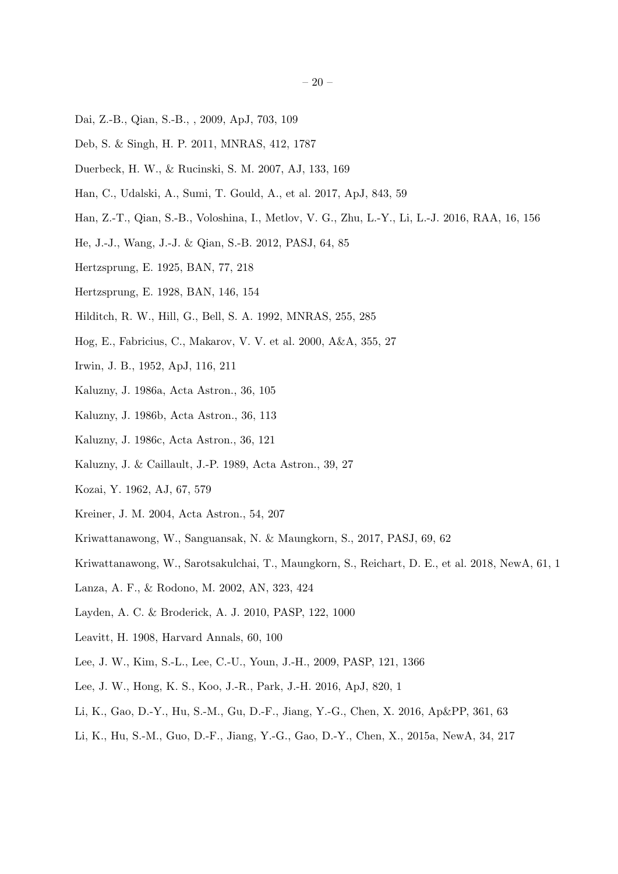- Dai, Z.-B., Qian, S.-B., , 2009, ApJ, 703, 109
- Deb, S. & Singh, H. P. 2011, MNRAS, 412, 1787
- Duerbeck, H. W., & Rucinski, S. M. 2007, AJ, 133, 169
- Han, C., Udalski, A., Sumi, T. Gould, A., et al. 2017, ApJ, 843, 59
- Han, Z.-T., Qian, S.-B., Voloshina, I., Metlov, V. G., Zhu, L.-Y., Li, L.-J. 2016, RAA, 16, 156
- He, J.-J., Wang, J.-J. & Qian, S.-B. 2012, PASJ, 64, 85
- Hertzsprung, E. 1925, BAN, 77, 218
- Hertzsprung, E. 1928, BAN, 146, 154
- Hilditch, R. W., Hill, G., Bell, S. A. 1992, MNRAS, 255, 285
- Hog, E., Fabricius, C., Makarov, V. V. et al. 2000, A&A, 355, 27
- Irwin, J. B., 1952, ApJ, 116, 211
- Kaluzny, J. 1986a, Acta Astron., 36, 105
- Kaluzny, J. 1986b, Acta Astron., 36, 113
- Kaluzny, J. 1986c, Acta Astron., 36, 121
- Kaluzny, J. & Caillault, J.-P. 1989, Acta Astron., 39, 27
- Kozai, Y. 1962, AJ, 67, 579
- Kreiner, J. M. 2004, Acta Astron., 54, 207
- Kriwattanawong, W., Sanguansak, N. & Maungkorn, S., 2017, PASJ, 69, 62
- Kriwattanawong, W., Sarotsakulchai, T., Maungkorn, S., Reichart, D. E., et al. 2018, NewA, 61, 1
- Lanza, A. F., & Rodono, M. 2002, AN, 323, 424
- Layden, A. C. & Broderick, A. J. 2010, PASP, 122, 1000
- Leavitt, H. 1908, Harvard Annals, 60, 100
- Lee, J. W., Kim, S.-L., Lee, C.-U., Youn, J.-H., 2009, PASP, 121, 1366
- Lee, J. W., Hong, K. S., Koo, J.-R., Park, J.-H. 2016, ApJ, 820, 1
- Li, K., Gao, D.-Y., Hu, S.-M., Gu, D.-F., Jiang, Y.-G., Chen, X. 2016, Ap&PP, 361, 63
- Li, K., Hu, S.-M., Guo, D.-F., Jiang, Y.-G., Gao, D.-Y., Chen, X., 2015a, NewA, 34, 217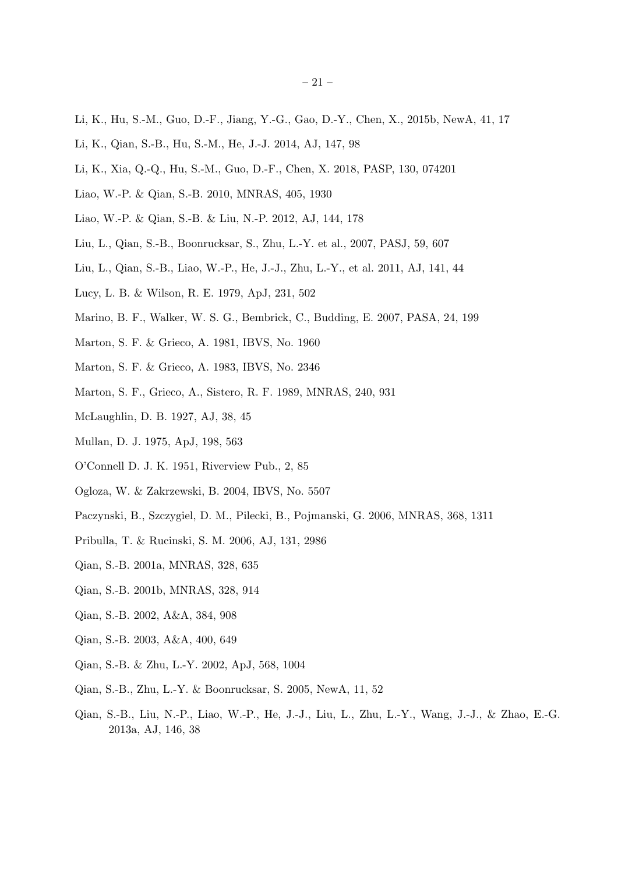- Li, K., Hu, S.-M., Guo, D.-F., Jiang, Y.-G., Gao, D.-Y., Chen, X., 2015b, NewA, 41, 17
- Li, K., Qian, S.-B., Hu, S.-M., He, J.-J. 2014, AJ, 147, 98
- Li, K., Xia, Q.-Q., Hu, S.-M., Guo, D.-F., Chen, X. 2018, PASP, 130, 074201
- Liao, W.-P. & Qian, S.-B. 2010, MNRAS, 405, 1930
- Liao, W.-P. & Qian, S.-B. & Liu, N.-P. 2012, AJ, 144, 178
- Liu, L., Qian, S.-B., Boonrucksar, S., Zhu, L.-Y. et al., 2007, PASJ, 59, 607
- Liu, L., Qian, S.-B., Liao, W.-P., He, J.-J., Zhu, L.-Y., et al. 2011, AJ, 141, 44
- Lucy, L. B. & Wilson, R. E. 1979, ApJ, 231, 502
- Marino, B. F., Walker, W. S. G., Bembrick, C., Budding, E. 2007, PASA, 24, 199
- Marton, S. F. & Grieco, A. 1981, IBVS, No. 1960
- Marton, S. F. & Grieco, A. 1983, IBVS, No. 2346
- Marton, S. F., Grieco, A., Sistero, R. F. 1989, MNRAS, 240, 931
- McLaughlin, D. B. 1927, AJ, 38, 45
- Mullan, D. J. 1975, ApJ, 198, 563
- O'Connell D. J. K. 1951, Riverview Pub., 2, 85
- Ogloza, W. & Zakrzewski, B. 2004, IBVS, No. 5507
- Paczynski, B., Szczygiel, D. M., Pilecki, B., Pojmanski, G. 2006, MNRAS, 368, 1311
- Pribulla, T. & Rucinski, S. M. 2006, AJ, 131, 2986
- Qian, S.-B. 2001a, MNRAS, 328, 635
- Qian, S.-B. 2001b, MNRAS, 328, 914
- Qian, S.-B. 2002, A&A, 384, 908
- Qian, S.-B. 2003, A&A, 400, 649
- Qian, S.-B. & Zhu, L.-Y. 2002, ApJ, 568, 1004
- Qian, S.-B., Zhu, L.-Y. & Boonrucksar, S. 2005, NewA, 11, 52
- Qian, S.-B., Liu, N.-P., Liao, W.-P., He, J.-J., Liu, L., Zhu, L.-Y., Wang, J.-J., & Zhao, E.-G. 2013a, AJ, 146, 38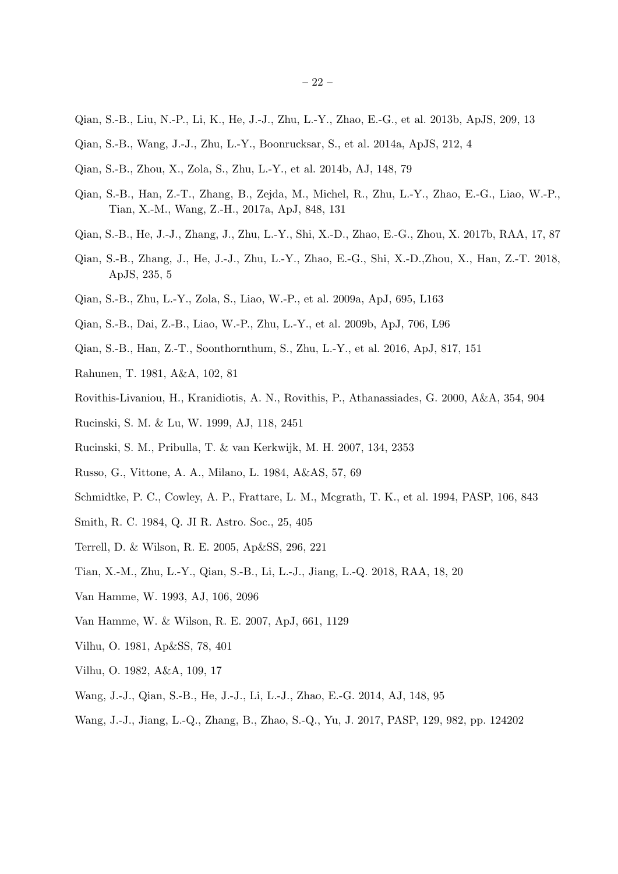- Qian, S.-B., Liu, N.-P., Li, K., He, J.-J., Zhu, L.-Y., Zhao, E.-G., et al. 2013b, ApJS, 209, 13
- Qian, S.-B., Wang, J.-J., Zhu, L.-Y., Boonrucksar, S., et al. 2014a, ApJS, 212, 4
- Qian, S.-B., Zhou, X., Zola, S., Zhu, L.-Y., et al. 2014b, AJ, 148, 79
- Qian, S.-B., Han, Z.-T., Zhang, B., Zejda, M., Michel, R., Zhu, L.-Y., Zhao, E.-G., Liao, W.-P., Tian, X.-M., Wang, Z.-H., 2017a, ApJ, 848, 131
- Qian, S.-B., He, J.-J., Zhang, J., Zhu, L.-Y., Shi, X.-D., Zhao, E.-G., Zhou, X. 2017b, RAA, 17, 87
- Qian, S.-B., Zhang, J., He, J.-J., Zhu, L.-Y., Zhao, E.-G., Shi, X.-D.,Zhou, X., Han, Z.-T. 2018, ApJS, 235, 5
- Qian, S.-B., Zhu, L.-Y., Zola, S., Liao, W.-P., et al. 2009a, ApJ, 695, L163
- Qian, S.-B., Dai, Z.-B., Liao, W.-P., Zhu, L.-Y., et al. 2009b, ApJ, 706, L96
- Qian, S.-B., Han, Z.-T., Soonthornthum, S., Zhu, L.-Y., et al. 2016, ApJ, 817, 151
- Rahunen, T. 1981, A&A, 102, 81
- Rovithis-Livaniou, H., Kranidiotis, A. N., Rovithis, P., Athanassiades, G. 2000, A&A, 354, 904
- Rucinski, S. M. & Lu, W. 1999, AJ, 118, 2451
- Rucinski, S. M., Pribulla, T. & van Kerkwijk, M. H. 2007, 134, 2353
- Russo, G., Vittone, A. A., Milano, L. 1984, A&AS, 57, 69
- Schmidtke, P. C., Cowley, A. P., Frattare, L. M., Mcgrath, T. K., et al. 1994, PASP, 106, 843
- Smith, R. C. 1984, Q. JI R. Astro. Soc., 25, 405
- Terrell, D. & Wilson, R. E. 2005, Ap&SS, 296, 221
- Tian, X.-M., Zhu, L.-Y., Qian, S.-B., Li, L.-J., Jiang, L.-Q. 2018, RAA, 18, 20
- Van Hamme, W. 1993, AJ, 106, 2096
- Van Hamme, W. & Wilson, R. E. 2007, ApJ, 661, 1129
- Vilhu, O. 1981, Ap&SS, 78, 401
- Vilhu, O. 1982, A&A, 109, 17
- Wang, J.-J., Qian, S.-B., He, J.-J., Li, L.-J., Zhao, E.-G. 2014, AJ, 148, 95
- Wang, J.-J., Jiang, L.-Q., Zhang, B., Zhao, S.-Q., Yu, J. 2017, PASP, 129, 982, pp. 124202